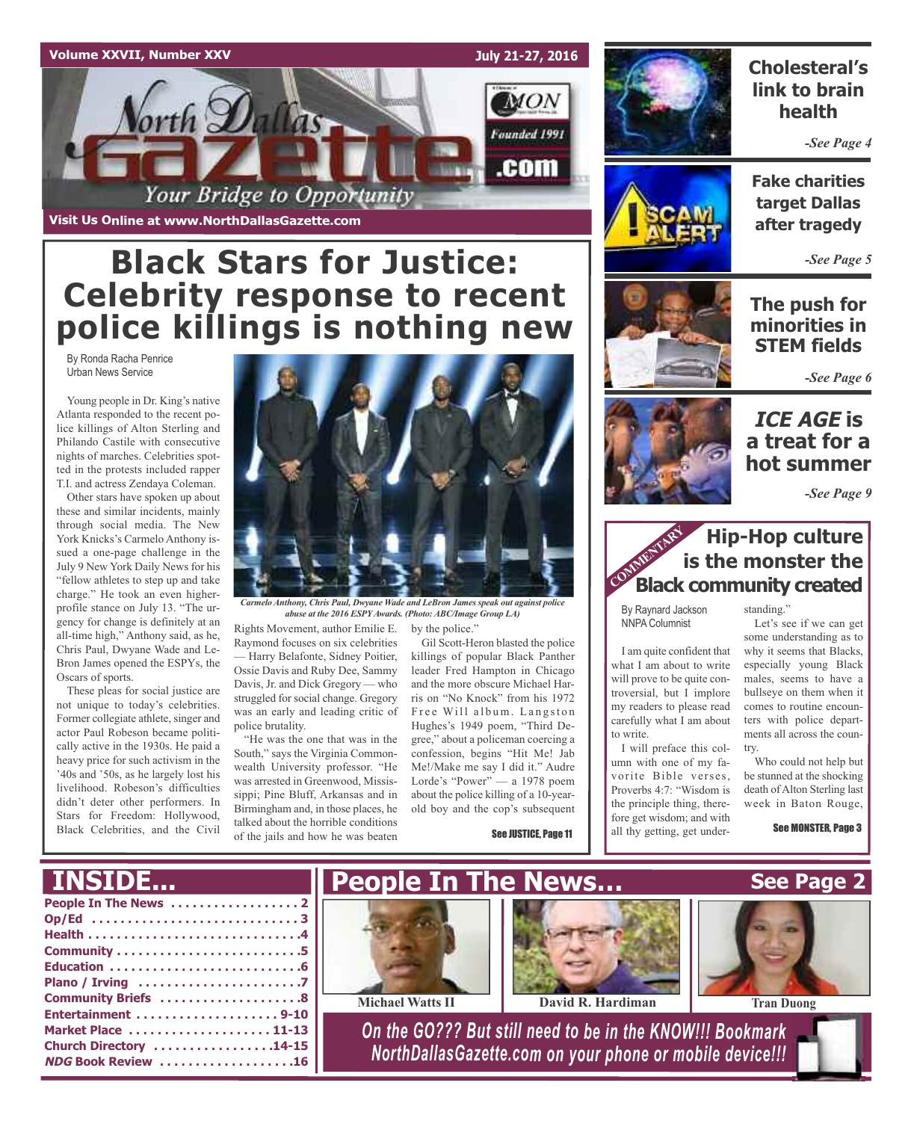### **Volume XXVII, Number XXV**



**Visit Us Online at www.NorthDallasGazette.com**

## **Black Stars for Justice: Celebrity response to recent police killings is nothing new**

By Ronda Racha Penrice Urban News Service

Young people in Dr. King's native Atlanta responded to the recent police killings of Alton Sterling and Philando Castile with consecutive nights of marches. Celebrities spotted in the protests included rapper T.I. and actress Zendaya Coleman.

Other stars have spoken up about these and similar incidents, mainly through social media. The New York Knicks's Carmelo Anthony issued a one-page challenge in the July 9 New York Daily News for his "fellow athletes to step up and take charge." He took an even higherprofile stance on July 13. "The urgency for change is definitely at an all-time high," Anthony said, as he, Chris Paul, Dwyane Wade and Le-Bron James opened the ESPYs, the Oscars of sports.

These pleas for social justice are not unique to today's celebrities. Former collegiate athlete, singer and actor Paul Robeson became politically active in the 1930s. He paid a heavy price for such activism in the '40s and '50s, as he largely lost his livelihood. Robeson's difficulties didn't deter other performers. In Stars for Freedom: Hollywood, Black Celebrities, and the Civil



*Carmelo Anthony, Chris Paul, Dwyane Wade and LeBron James speak out against police abuse at the 2016 ESPYAwards. (Photo: ABC/Image Group LA)*

Rights Movement, author Emilie E. Raymond focuses on six celebrities — Harry Belafonte, Sidney Poitier, Ossie Davis and Ruby Dee, Sammy Davis, Jr. and Dick Gregory — who struggled for social change. Gregory was an early and leading critic of police brutality.

"He was the one that was in the South," says the Virginia Commonwealth University professor. "He was arrested in Greenwood, Mississippi; Pine Bluff, Arkansas and in Birmingham and, in those places, he talked about the horrible conditions of the jails and how he was beaten

by the police."

Gil Scott-Heron blasted the police killings of popular Black Panther leader Fred Hampton in Chicago and the more obscure Michael Harris on "No Knock" from his 1972 Free Will album. Langston Hughes's 1949 poem, "Third Degree," about a policeman coercing a confession, begins "Hit Me! Jab Me!/Make me say I did it." Audre Lorde's "Power" — a 1978 poem about the police killing of a 10-yearold boy and the cop's subsequent

See JUSTICE, Page 11



### **Cholesteral's link to brain health**

*-See Page 4*



**Fake charities target Dallas after tragedy**

*-See Page 5*

**The push for minorities in STEM fields**

*-See Page 6*



*-See Page 9*

### **Hip-Hop culture is the monster the Black community created**

By Raynard Jackson NNPA Columnist

I am quite confident that what I am about to write will prove to be quite controversial, but I implore my readers to please read carefully what I am about to write.

I will preface this column with one of my favorite Bible verses, Proverbs 4:7: "Wisdom is the principle thing, therefore get wisdom; and with all thy getting, get understanding."

Let's see if we can get some understanding as to why it seems that Blacks, especially young Black males, seems to have a bullseye on them when it comes to routine encounters with police departments all across the country.

Who could not help but be stunned at the shocking death ofAlton Sterling last week in Baton Rouge,

See MONSTER, Page 3

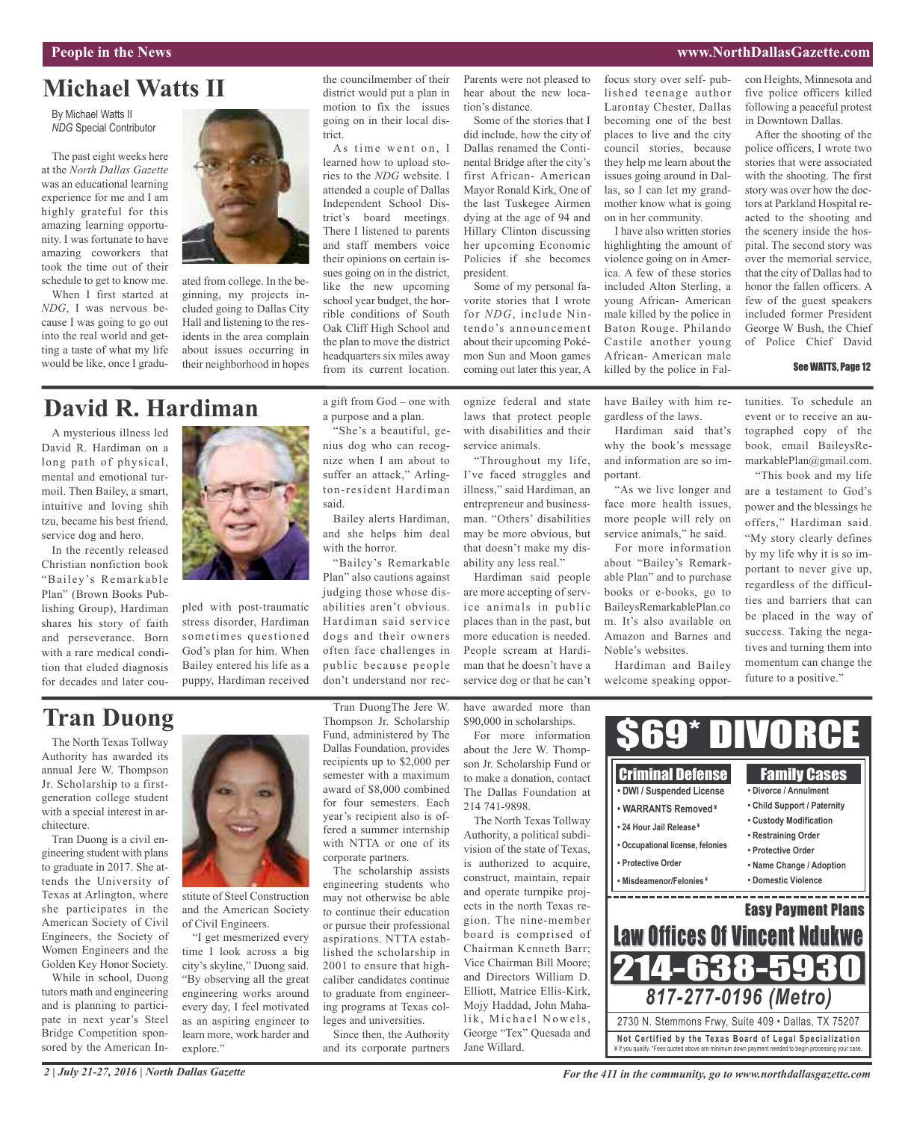#### **People in the News www.NorthDallasGazette.com**

## **Michael Watts II**

By Michael Watts II *NDG* Special Contributor

The past eight weeks here at the *North Dallas Gazette* was an educational learning experience for me and I am highly grateful for this amazing learning opportunity. I was fortunate to have amazing coworkers that took the time out of their schedule to get to know me.

When I first started at *NDG*, I was nervous because I was going to go out into the real world and getting a taste of what my life would be like, once I gradu-



ated from college. In the beginning, my projects included going to Dallas City Hall and listening to the residents in the area complain about issues occurring in their neighborhood in hopes

### **David R. Hardiman**

A mysterious illness led David R. Hardiman on a long path of physical, mental and emotional turmoil. Then Bailey, a smart, intuitive and loving shih tzu, became his best friend, service dog and hero.

In the recently released Christian nonfiction book "Bailey's Remarkable Plan" (Brown Books Publishing Group), Hardiman shares his story of faith and perseverance. Born with a rare medical condition that eluded diagnosis for decades and later cou-



pled with post-traumatic stress disorder, Hardiman sometimes questioned God's plan for him. When Bailey entered his life as a puppy, Hardiman received

### **Tran Duong**

The North Texas Tollway Authority has awarded its annual Jere W. Thompson Jr. Scholarship to a firstgeneration college student with a special interest in architecture.

Tran Duong is a civil engineering student with plans to graduate in 2017. She attends the University of Texas at Arlington, where she participates in the American Society of Civil Engineers, the Society of Women Engineers and the Golden Key Honor Society.

While in school, Duong tutors math and engineering and is planning to participate in next year's Steel Bridge Competition sponsored by the American In-



stitute of Steel Construction and the American Society of Civil Engineers.

"I get mesmerized every time I look across a big city's skyline," Duong said. "By observing all the great engineering works around every day, I feel motivated as an aspiring engineer to learn more, work harder and explore."

a gift from God – one with a purpose and a plan.

the councilmember of their district would put a plan in motion to fix the issues going on in their local dis-

As time went on, I learned how to upload stories to the *NDG* website. I attended a couple of Dallas Independent School District's board meetings. There I listened to parents and staff members voice their opinions on certain issues going on in the district, like the new upcoming school year budget, the horrible conditions of South Oak Cliff High School and the plan to move the district headquarters six miles away from its current location.

trict.

nius dog who can recognize when I am about to suffer an attack," Arlington-resident Hardiman said.

Bailey alerts Hardiman, and she helps him deal with the horror.

"Bailey's Remarkable Plan" also cautions against judging those whose disabilities aren't obvious. Hardiman said service dogs and their owners often face challenges in public because people don't understand nor rec-

Tran DuongThe Jere W.

The scholarship assists

to continue their education or pursue their professional aspirations. NTTA established the scholarship in 2001 to ensure that highcaliber candidates continue to graduate from engineering programs at Texas colleges and universities. Since then, the Authority and its corporate partners

ognize federal and state laws that protect people with disabilities and their

> "Throughout my life, I've faced struggles and illness," said Hardiman, an entrepreneur and businessman. "Others' disabilities

Parents were not pleased to hear about the new loca-

Some of the stories that I did include, how the city of Dallas renamed the Continental Bridge after the city's first African- American Mayor Ronald Kirk, One of the last Tuskegee Airmen dying at the age of 94 and Hillary Clinton discussing her upcoming Economic Policies if she becomes

Some of my personal favorite stories that I wrote for *NDG*, include Nintendo's announcement about their upcoming Pokémon Sun and Moon games coming out later this year, A

tion's distance.

service dog or that he can't

focus story over self- published teenage author Larontay Chester, Dallas becoming one of the best places to live and the city council stories, because they help me learn about the issues going around in Dallas, so I can let my grandmother know what is going on in her community.

I have also written stories highlighting the amount of violence going on in America. A few of these stories included Alton Sterling, a young African- American male killed by the police in Baton Rouge. Philando Castile another young African- American male killed by the police in Fal-

have Bailey with him regardless of the laws.

Hardiman said that's why the book's message and information are so im-

"As we live longer and face more health issues, more people will rely on service animals," he said. For more information about "Bailey's Remarkable Plan" and to purchase books or e-books, go to BaileysRemarkablePlan.co m. It's also available on Amazon and Barnes and

portant.

Noble's websites.

Hardiman and Bailey welcome speaking opporcon Heights, Minnesota and five police officers killed following a peaceful protest in Downtown Dallas.

After the shooting of the police officers, I wrote two stories that were associated with the shooting. The first story was over how the doctors at Parkland Hospital reacted to the shooting and the scenery inside the hospital. The second story was over the memorial service, that the city of Dallas had to honor the fallen officers. A few of the guest speakers included former President George W Bush, the Chief of Police Chief David

#### See WATTS, Page 12

tunities. To schedule an event or to receive an autographed copy of the book, email BaileysRemarkablePlan@gmail.com.

"This book and my life are a testament to God's power and the blessings he offers," Hardiman said. "My story clearly defines by my life why it is so important to never give up, regardless of the difficulties and barriers that can be placed in the way of success. Taking the negatives and turning them into momentum can change the future to a positive."

have awarded more than \$90,000 in scholarships.

For more information about the Jere W. Thompson Jr. Scholarship Fund or to make a donation, contact The Dallas Foundation at 214 741-9898.

The North Texas Tollway Authority, a political subdivision of the state of Texas, is authorized to acquire, construct, maintain, repair and operate turnpike projects in the north Texas region. The nine-member board is comprised of Chairman Kenneth Barr; Vice Chairman Bill Moore; and Directors William D. Elliott, Matrice Ellis-Kirk, Mojy Haddad, John Mahalik, Michael Nowels, George "Tex" Quesada and Jane Willard.



*For the 411 in the community, go to www.northdallasgazette.com*

"She's a beautiful, geservice animals.

president.

may be more obvious, but that doesn't make my disability any less real." Hardiman said people are more accepting of serv-

ice animals in public places than in the past, but more education is needed. People scream at Hardiman that he doesn't have a

*2 | July 21-27, 2016 | North Dallas Gazette*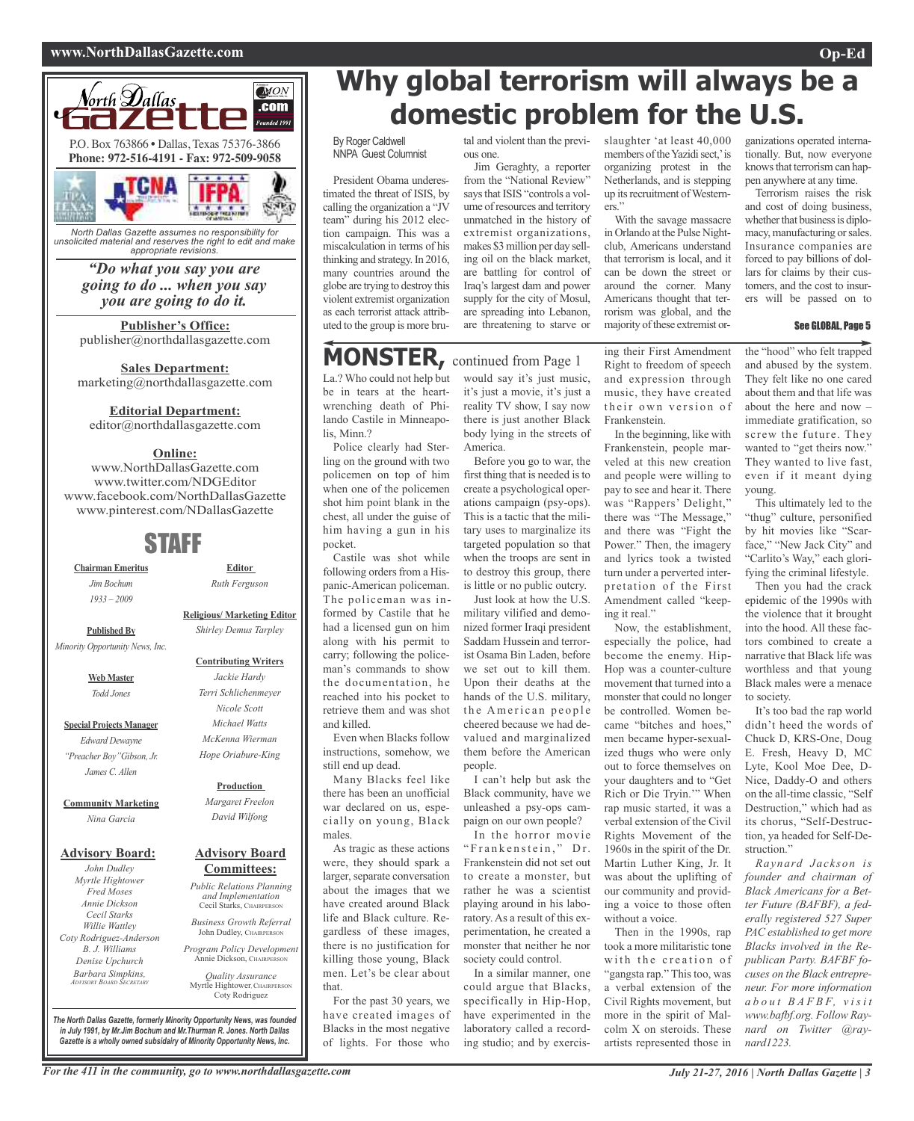#### **www.NorthDallasGazette.com Op-Ed**



*unsolicited material and reserves the right to edit and make appropriate revisions.*

> *"Do what you say you are going to do ... when you say you are going to do it.*

**Publisher's Office:** publisher@northdallasgazette.com

**Sales Department:** marketing@northdallasgazette.com

#### **Editorial Department:**

editor@northdallasgazette.com

### **Online:**

www.NorthDallasGazette.com www.twitter.com/NDGEditor www.facebook.com/NorthDallasGazette www.pinterest.com/NDallasGazette

### STAFF

**Chairman Emeritus** *Jim Bochum 1933 – 2009*

> **Religious/ Marketing Editor** *Shirley Demus Tarpley*

*Ruth Ferguson*

**Published By** *Minority Opportunity News, Inc.*

> **Web Master** *Todd Jones*

**Special Projects Manager** *Edward Dewayne "Preacher Boy"Gibson, Jr. James C. Allen*

**Community Marketing** *Nina Garcia*

### **Advisory Board:**

*John Dudley Myrtle Hightower Fred Moses Annie Dickson Cecil Starks Willie Wattley Coty Rodriguez-Anderson B. J. Williams Denise Upchurch Barbara Simpkins, ADVISORY BOARD SECRETARY*

*Jackie Hardy Terri Schlichenmeyer Nicole Scott Michael Watts McKenna Wierman Hope Oriabure-King*

**Contributing Writers**

#### **Production**

*Margaret Freelon David Wilfong*

#### **Advisory Board Committees:**

*Public Relations Planning and Implementation* Cecil Starks, CHAIRPERSON

*Business Growth Referral* John Dudley, CHAIRPERSO

*Program Policy Development* Annie Dickson, CHAIRPE

*Quality Assurance* Myrtle Hightower, CHAIRPERS Coty Rodriguez

**Why global terrorism will always be a domestic problem for the U.S.**

By Roger Caldwell NNPA Guest Columnist

President Obama underestimated the threat of ISIS, by calling the organization a "JV team" during his 2012 election campaign. This was a miscalculation in terms of his thinking and strategy.In 2016, many countries around the globe are trying to destroy this violent extremist organization as each terrorist attack attributed to the group is more brutal and violent than the previous one.

Jim Geraghty, a reporter from the "National Review" says that ISIS "controls a volume of resources and territory unmatched in the history of extremist organizations, makes \$3million per day selling oil on the black market, are battling for control of Iraq's largest dam and power supply for the city of Mosul, are spreading into Lebanon, are threatening to starve or

### **MONSTER,** continued from Page <sup>1</sup>

La.? Who could not help but be in tears at the heartwrenching death of Philando Castile in Minneapolis, Minn.?

Police clearly had Sterling on the ground with two policemen on top of him when one of the policemen shot him point blank in the chest, all under the guise of him having a gun in his pocket.

Castile was shot while following orders from a Hispanic-American policeman. The policeman was informed by Castile that he had a licensed gun on him along with his permit to carry; following the policeman's commands to show the documentation, he reached into his pocket to retrieve them and was shot and killed.

Even when Blacks follow instructions, somehow, we still end up dead.

Many Blacks feel like there has been an unofficial war declared on us, especially on young, Black males.

As tragic as these actions were, they should spark a larger, separate conversation about the images that we have created around Black life and Black culture. Regardless of these images, there is no justification for killing those young, Black men. Let's be clear about that.

For the past 30 years, we have created images of Blacks in the most negative of lights. For those who

would say it's just music, it's just a movie, it's just a reality TV show, I say now there is just another Black body lying in the streets of America.

Before you go to war, the first thing that is needed isto create a psychological operations campaign (psy-ops). This is a tactic that the military uses to marginalize its targeted population so that when the troops are sent in to destroy this group, there is little or no public outcry. Just look at how the U.S.

military vilified and demonized former Iraqi president Saddam Hussein and terrorist Osama Bin Laden, before we set out to kill them. Upon their deaths at the hands of the U.S. military, the American people cheered because we had devalued and marginalized them before the American people.

I can't help but ask the Black community, have we unleashed a psy-ops campaign on our own people?

In the horror movie "Frankenstein," Dr. Frankenstein did not set out to create a monster, but rather he was a scientist playing around in his laboratory. As a result of this experimentation, he created a monster that neither he nor society could control.

In a similar manner, one could argue that Blacks, specifically in Hip-Hop, have experimented in the laboratory called a recording studio; and by exercisslaughter 'at least 40,000 members of the Yazidi sect,' is organizing protest in the Netherlands, and is stepping up its recruitment of Westerners."

With the savage massacre in Orlando at the Pulse Nightclub, Americans understand that terrorism is local, and it can be down the street or around the corner. Many Americans thought that terrorism was global, and the majority of these extremist or-

ing their First Amendment Right to freedom of speech and expression through music, they have created their own version of Frankenstein.

In the beginning, like with Frankenstein, people marveled at this new creation and people were willing to pay to see and hear it. There was "Rappers' Delight," there was "The Message," and there was "Fight the Power." Then, the imagery and lyrics took a twisted turn under a perverted interpretation of the First Amendment called "keeping it real."

Now, the establishment, especially the police, had become the enemy. Hip-Hop was a counter-culture movement that turned into a monster that could no longer be controlled. Women became "bitches and hoes," men became hyper-sexualized thugs who were only out to force themselves on your daughters and to "Get Rich or Die Tryin.'" When rap music started, it was a verbal extension of the Civil Rights Movement of the 1960s in the spirit of the Dr. Martin Luther King, Jr. It was about the uplifting of our community and providing a voice to those often without a voice.

Then in the 1990s, rap took a more militaristic tone with the creation of "gangsta rap." This too, was a verbal extension of the Civil Rights movement, but more in the spirit of Malcolm X on steroids. These artists represented those in

ganizations operated internationally. But, now everyone knowsthat terrorism can happen anywhere at any time.

Terrorism raises the risk and cost of doing business, whether that business is diplomacy, manufacturing or sales. Insurance companies are forced to pay billions of dollars for claims by their customers, and the cost to insurers will be passed on to

#### See GLOBAL, Page 5

the "hood" who felt trapped and abused by the system. They felt like no one cared about them and that life was about the here and now – immediate gratification, so screw the future. They wanted to "get theirs now." They wanted to live fast, even if it meant dying young.

This ultimately led to the "thug" culture, personified by hit movies like "Scarface," "New Jack City" and "Carlito's Way," each glorifying the criminal lifestyle.

Then you had the crack epidemic of the 1990s with the violence that it brought into the hood. All these factors combined to create a narrative that Black life was worthless and that young Black males were a menace to society.

It's too bad the rap world didn't heed the words of Chuck D, KRS-One, Doug E. Fresh, Heavy D, MC Lyte, Kool Moe Dee, D-Nice, Daddy-O and others on the all-time classic, "Self Destruction," which had as its chorus, "Self-Destruction, ya headed for Self-Destruction."

*Raynard Jackson is founder and chairman of Black Americans for a Better Future (BAFBF), a federally registered 527 Super PAC established to get more Blacks involved in the Republican Party. BAFBF focuses on the Black entrepreneur. For more information*  $a$  $b$   $o$   $u$ *t*  $B$   $A$ *FBF*,  $v$  *i*  $s$  *i*  $t$ *www.bafbf.org. Follow Raynard on Twitter @raynard1223.*

*The North Dallas Gazette, formerly Minority Opportunity News, was founded in July 1991, by Mr.Jim Bochum and Mr.Thurman R. Jones. North Dallas Gazette is a wholly owned subsidairy of Minority Opportunity News, Inc.*

# **Editor**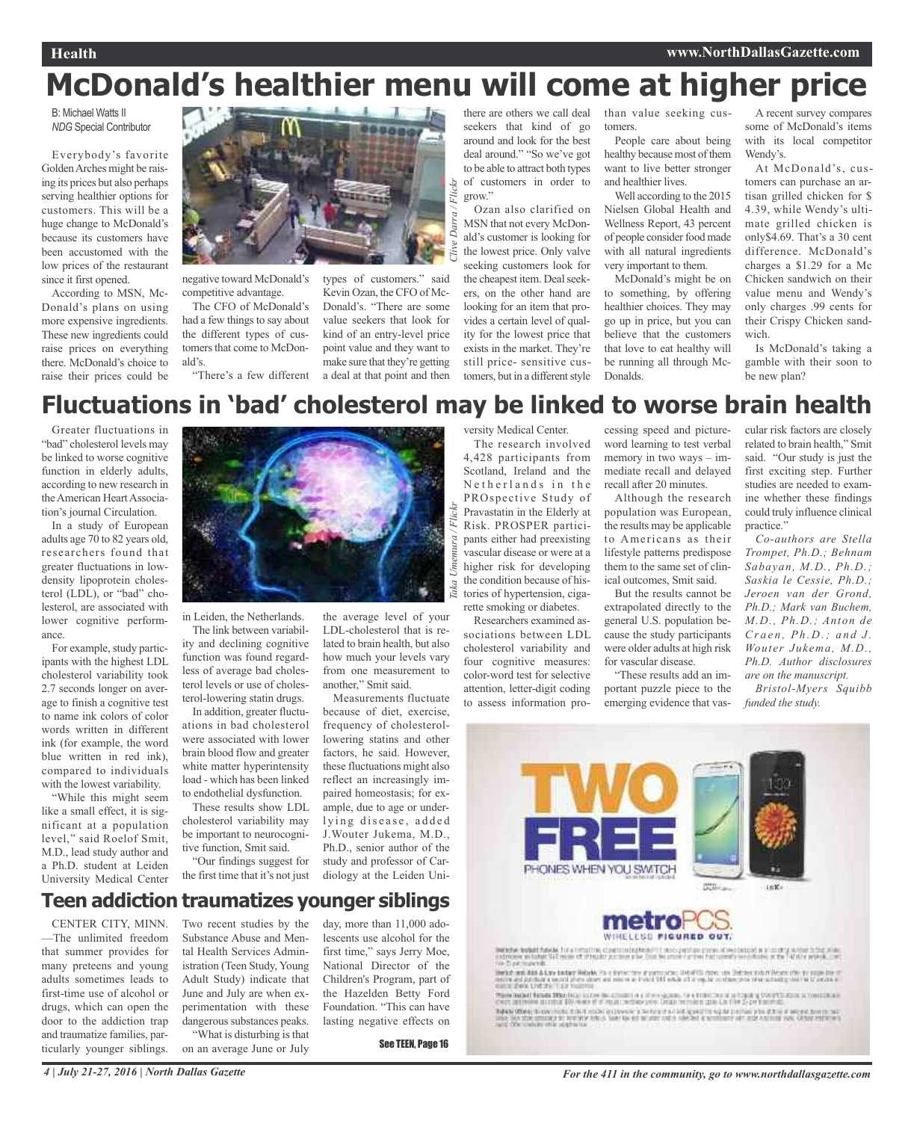#### **Health www.NorthDallasGazette.com**

# **McDonald's healthier menu will come at higher price**

Flickr

B: Michael Watts II *NDG* Special Contributor

Everybody's favorite GoldenArches might be raising its prices but also perhaps serving healthier options for customers. This will be a huge change to McDonald's because its customers have been accustomed with the low prices of the restaurant since it first opened.

According to MSN, Mc-Donald's plans on using more expensive ingredients. These new ingredients could raise prices on everything there. McDonald's choice to raise their prices could be



negative toward McDonald's competitive advantage.

The CFO of McDonald's had a few things to say about the different types of customers that come to McDonald's.

"There's a few different

types of customers." said Kevin Ozan, the CFO of Mc-Donald's. "There are some value seekers that look for kind of an entry-level price point value and they want to make sure that they're getting a deal at that point and then *Clive Darra / Flickr*

#### there are others we call deal seekers that kind of go around and look for the best deal around." "So we've got to be able to attract both types of customers in order to grow."

Ozan also clarified on MSN that not every McDonald's customer is looking for the lowest price. Only valve seeking customers look for the cheapest item. Deal seekers, on the other hand are looking for an item that provides a certain level of quality for the lowest price that exists in the market. They're still price- sensitive customers, but in a different style

than value seeking customers.

People care about being healthy because most of them want to live better stronger and healthier lives.

Well according to the 2015 Nielsen Global Health and Wellness Report, 43 percent of people consider food made with all natural ingredients very important to them.

McDonald's might be on to something, by offering healthier choices. They may go up in price, but you can believe that the customers that love to eat healthy will be running all through Mc-Donalds.

A recent survey compares some of McDonald's items with its local competitor Wendy's.

At McDonald's, customers can purchase an artisan grilled chicken for \$ 4.39, while Wendy's ultimate grilled chicken is only\$4.69. That's a 30 cent difference. McDonald's charges a \$1.29 for a Mc Chicken sandwich on their value menu and Wendy's only charges .99 cents for their Crispy Chicken sandwich.

Is McDonald's taking a gamble with their soon to be new plan?

## **Fluctuations in 'bad' cholesterol may be linked to worse brain health**

*Taka Umemura / Flickr*

Greater fluctuations in "bad" cholesterol levels may be linked to worse cognitive function in elderly adults, according to new research in the American Heart Association's journal Circulation.

In a study of European adults age 70 to 82 years old, researchers found that greater fluctuations in lowdensity lipoprotein cholesterol (LDL), or "bad" cholesterol, are associated with lower cognitive performance.

For example, study participants with the highest LDL cholesterol variability took 2.7 seconds longer on average to finish a cognitive test to name ink colors of color words written in different ink (for example, the word blue written in red ink), compared to individuals with the lowest variability.

"While this might seem like a small effect, it is significant at a population level," said Roelof Smit, M.D., lead study author and a Ph.D. student at Leiden University Medical Center



in Leiden, the Netherlands.

The link between variability and declining cognitive function was found regardless of average bad cholesterol levels or use of cholesterol-lowering statin drugs.

In addition, greater fluctuations in bad cholesterol were associated with lower brain blood flow and greater white matter hyperintensity load - which has been linked to endothelial dysfunction.

These results show LDL cholesterol variability may be important to neurocognitive function, Smit said.

"Our findings suggest for the first time that it's not just

the average level of your LDL-cholesterol that is related to brain health, but also how much your levels vary from one measurement to another," Smit said.

Measurements fluctuate because of diet, exercise, frequency of cholesterollowering statins and other factors, he said. However, these fluctuations might also reflect an increasingly impaired homeostasis; for example, due to age or underlying disease, added J.Wouter Jukema, M.D., Ph.D., senior author of the study and professor of Cardiology at the Leiden University Medical Center.

The research involved 4,428 participants from Scotland, Ireland and the Netherlands in the PROspective Study of Pravastatin in the Elderly at Risk. PROSPER participants either had preexisting vascular disease or were at a higher risk for developing the condition because of histories of hypertension, cigarette smoking or diabetes.

Researchers examined associations between LDL cholesterol variability and four cognitive measures: color-word test for selective attention, letter-digit coding to assess information pro-

cessing speed and pictureword learning to test verbal memory in two ways – immediate recall and delayed recall after 20 minutes.

Although the research population was European, the results may be applicable to Americans as their lifestyle patterns predispose them to the same set of clinical outcomes, Smit said.

But the results cannot be extrapolated directly to the general U.S. population because the study participants were older adults at high risk for vascular disease.

"These results add an important puzzle piece to the emerging evidence that vas-

cular risk factors are closely related to brain health," Smit said. "Our study is just the first exciting step. Further studies are needed to examine whether these findings could truly influence clinical practice."

*Co-authors are Stella Trompet, Ph.D.; Behnam Sabayan, M.D., Ph.D.; Saskia le Cessie, Ph.D.; Jeroen van der Grond, Ph.D.; Mark van Buchem, M.D., Ph.D.; Anton de Cr a e n , Ph .D.; a n d J . Wouter Jukema, M.D., Ph.D. Author disclosures are on the manuscript.*

*Bristol-Myers Squibb funded the study.*





indrease in total<br>Tre Dipitrispendi

Seattle and had a fine backer Metals. On a finite case of party and a fine on one of the teacher from the fine of the property of the property of the property of the property of the property of the property of the property

Relate Others to the model fills it miche and there is the total in a bid agend to regular primary the state of recent from the two states are allowed to the state of the state of the state of the state of the state of the

**Teen addiction traumatizes younger siblings**

CENTER CITY, MINN. —The unlimited freedom that summer provides for many preteens and young adults sometimes leads to first-time use of alcohol or drugs, which can open the door to the addiction trap and traumatize families, particularly younger siblings.

Two recent studies by the Substance Abuse and Mental Health Services Administration (Teen Study, Young Adult Study) indicate that June and July are when experimentation with these dangerous substances peaks. "What is disturbing is that

on an average June or July

day, more than 11,000 adolescents use alcohol for the first time," says Jerry Moe, National Director of the Children's Program, part of the Hazelden Betty Ford Foundation. "This can have lasting negative effects on

See TEEN, Page 16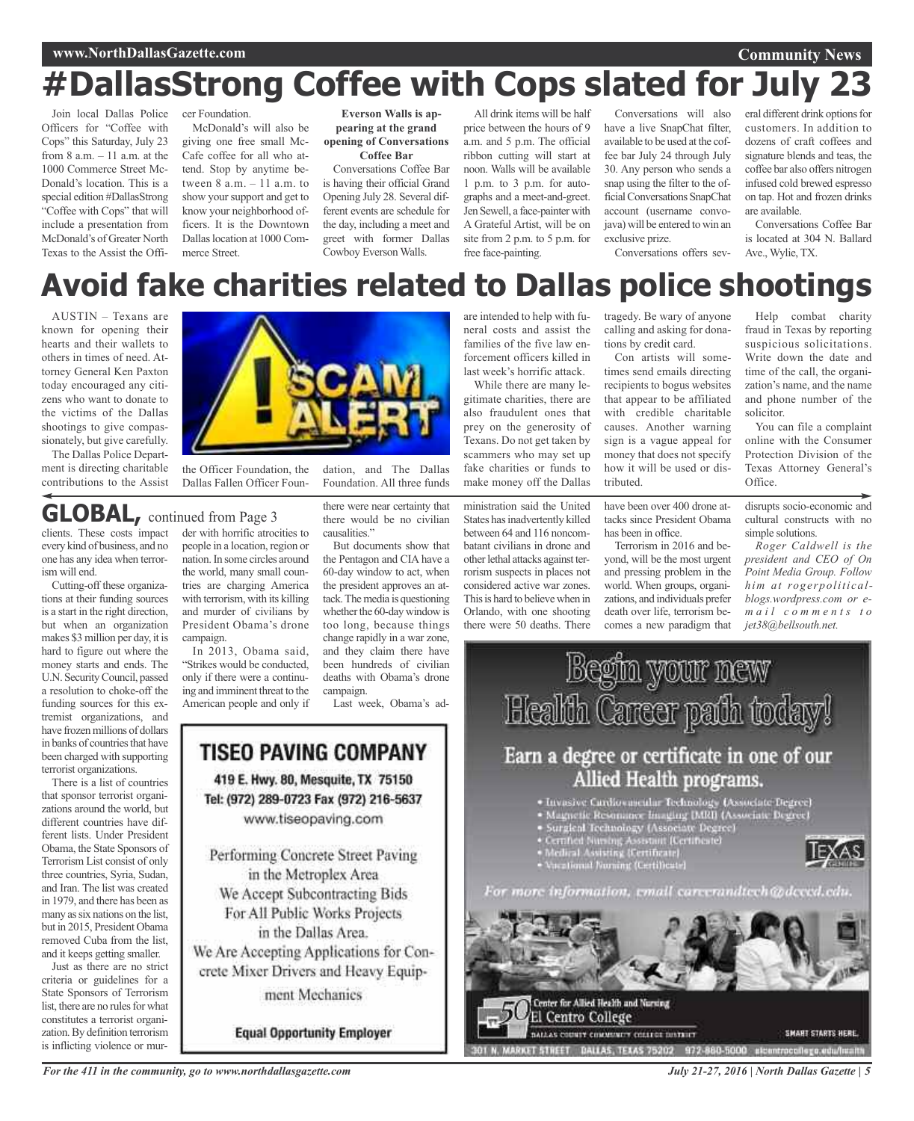### **www.NorthDallasGazette.com**

#### **Community News**

## **#DallasStrong Coffee with Cops slated for July 23**

Join local Dallas Police Officers for "Coffee with Cops" this Saturday, July 23 from  $8$  a.m.  $-11$  a.m. at the 1000 Commerce Street Mc-Donald's location. This is a special edition #DallasStrong "Coffee with Cops" that will include a presentation from McDonald's of Greater North Texas to the Assist the Officer Foundation. McDonald's will also be giving one free small Mc-Cafe coffee for all who attend. Stop by anytime between 8 a.m. – 11 a.m. to show your support and get to know your neighborhood officers. It is the Downtown

Dallas location at 1000 Com-

merce Street.

**Everson Walls is appearing at the grand opening of Conversations Coffee Bar**

Conversations Coffee Bar is having their official Grand Opening July 28. Several different events are schedule for the day, including a meet and greet with former Dallas Cowboy Everson Walls.

All drink items will be half price between the hours of 9 a.m. and 5 p.m. The official ribbon cutting will start at noon. Walls will be available 1 p.m. to 3 p.m. for autographs and a meet-and-greet. Jen Sewell, a face-painter with A Grateful Artist, will be on site from 2 p.m. to 5 p.m. for free face-painting.

are intended to help with funeral costs and assist the families of the five law enforcement officers killed in last week's horrific attack. While there are many le-

Conversations will also have a live SnapChat filter, available to be used at the coffee bar July 24 through July 30. Any person who sends a snap using the filter to the officialConversations SnapChat account (username convojava) will be entered to win an exclusive prize. Conversations offers sev-

eral different drink options for customers. In addition to dozens of craft coffees and signature blends and teas, the coffee bar also offers nitrogen infused cold brewed espresso on tap. Hot and frozen drinks are available.

Conversations Coffee Bar is located at 304 N. Ballard Ave., Wylie, TX.

## **Avoid fake charities related to Dallas police shootings**

AUSTIN – Texans are known for opening their hearts and their wallets to others in times of need. Attorney General Ken Paxton today encouraged any citizens who want to donate to the victims of the Dallas shootings to give compassionately, but give carefully.

The Dallas Police Department is directing charitable contributions to the Assist



the Officer Foundation, the Dallas Fallen Officer Foun-

### **GLOBAL,** continued from Page <sup>3</sup>

clients. These costs impact every kind of business, and no one has any idea when terrorism will end.

Cutting-off these organizations at their funding sources is a start in the right direction, but when an organization makes \$3 million per day, it is hard to figure out where the money starts and ends. The U.N. SecurityCouncil, passed a resolution to choke-off the funding sources for this extremist organizations, and have frozen millions of dollars in banks of countries that have been charged with supporting terrorist organizations.

There is a list of countries that sponsor terrorist organizations around the world, but different countries have different lists. Under President Obama, the State Sponsors of Terrorism List consist of only three countries, Syria, Sudan, and Iran. The list was created in 1979, and there has been as many as six nations on the list but in 2015, President Obama removed Cuba from the list, and it keeps getting smaller.

Just as there are no strict criteria or guidelines for a State Sponsors of Terrorism list, there are no rules for what constitutes a terrorist organization.By definition terrorism is inflicting violence or murder with horrific atrocities to people in a location, region or nation.In some circles around the world, many small countries are charging America with terrorism, with its killing and murder of civilians by President Obama's drone

campaign. In 2013, Obama said, "Strikes would be conducted, only if there were a continuing and imminent threat to the American people and only if there were near certainty that there would be no civilian causalities."

Foundation. All three funds

But documents show that the Pentagon and CIA have a 60-day window to act, when the president approves an attack. The media is questioning whether the 60-day window is too long, because things change rapidly in a war zone, and they claim there have been hundreds of civilian deaths with Obama's drone campaign.

Last week, Obama's ad-



**Equal Opportunity Employer** 

ministration said the United gitimate charities, there are also fraudulent ones that prey on the generosity of Texans. Do not get taken by scammers who may set up fake charities or funds to make money off the Dallas tributed.

States has inadvertently killed between 64 and 116 noncombatant civilians in drone and other lethal attacks against terrorism suspects in places not considered active war zones. This is hard to believe when in Orlando, with one shooting there were 50 deaths. There

tragedy. Be wary of anyone calling and asking for donations by credit card.

Con artists will sometimes send emails directing recipients to bogus websites that appear to be affiliated with credible charitable causes. Another warning sign is a vague appeal for money that does not specify how it will be used or dis-

have been over 400 drone attacks since President Obama has been in office.

Terrorism in 2016 and beyond, will be the most urgent and pressing problem in the world. When groups, organizations, and individuals prefer death over life, terrorism becomes a new paradigm that

Help combat charity fraud in Texas by reporting suspicious solicitations. Write down the date and time of the call, the organization's name, and the name and phone number of the solicitor.

You can file a complaint online with the Consumer Protection Division of the Texas Attorney General's Office.

disrupts socio-economic and cultural constructs with no simple solutions.

*Roger Caldwell is the president and CEO of On Point Media Group. Follow him at rogerpoliticalblogs.wordpress.com or em a i l c o m m e n t s t o jet38@bellsouth.net.*



*For the 411 in the community, go to www.northdallasgazette.com*

*July 21-27, 2016 | North Dallas Gazette | 5*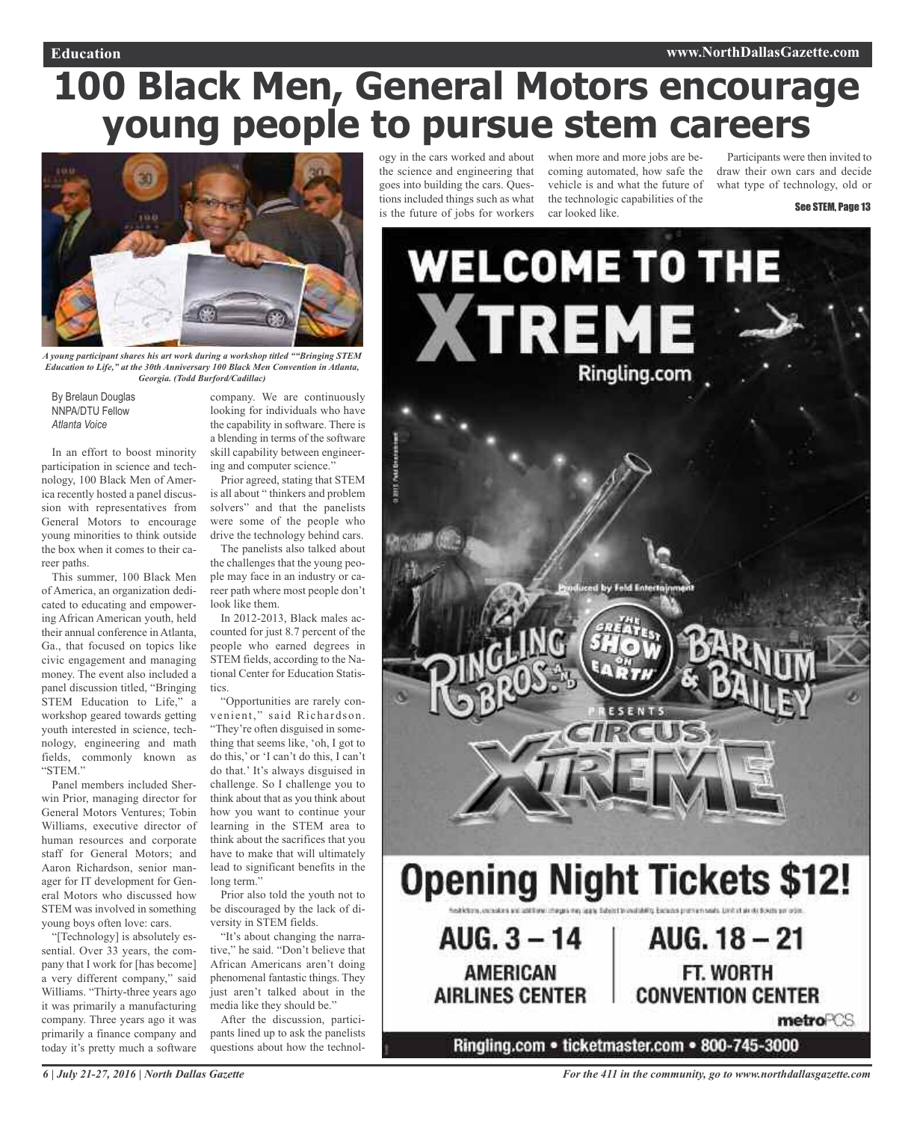# **100 Black Men, General Motors encourage young people to pursue stem careers**



*A young participant shares his art work during a workshop titled ""Bringing STEM Education to Life," at the 30th Anniversary 100 Black Men Convention in Atlanta, Georgia. (Todd Burford/Cadillac)*

By Brelaun Douglas NNPA/DTU Fellow *Atlanta Voice*

In an effort to boost minority participation in science and technology, 100 Black Men of America recently hosted a panel discussion with representatives from General Motors to encourage young minorities to think outside the box when it comes to their career paths.

This summer, 100 Black Men of America, an organization dedicated to educating and empowering African American youth, held their annual conference in Atlanta, Ga., that focused on topics like civic engagement and managing money. The event also included a panel discussion titled, "Bringing STEM Education to Life," a workshop geared towards getting youth interested in science, technology, engineering and math fields, commonly known as "STEM."

Panel members included Sherwin Prior, managing director for General Motors Ventures; Tobin Williams, executive director of human resources and corporate staff for General Motors; and Aaron Richardson, senior manager for IT development for General Motors who discussed how STEM was involved in something young boys often love: cars.

"[Technology] is absolutely essential. Over 33 years, the company that I work for [has become] a very different company," said Williams. "Thirty-three years ago it was primarily a manufacturing company. Three years ago it was primarily a finance company and today it's pretty much a software

company. We are continuously looking for individuals who have the capability in software. There is a blending in terms of the software skill capability between engineering and computer science."

Prior agreed, stating that STEM is all about " thinkers and problem solvers" and that the panelists were some of the people who drive the technology behind cars.

The panelists also talked about the challenges that the young people may face in an industry or career path where most people don't look like them.

In 2012-2013, Black males accounted for just 8.7 percent of the people who earned degrees in STEM fields, according to the National Center for Education Statistics.

"Opportunities are rarely convenient," said Richardson. "They're often disguised in something that seems like, 'oh, I got to do this,' or 'I can't do this, I can't do that.' It's always disguised in challenge. So I challenge you to think about that as you think about how you want to continue your learning in the STEM area to think about the sacrifices that you have to make that will ultimately lead to significant benefits in the long term."

Prior also told the youth not to be discouraged by the lack of diversity in STEM fields.

"It's about changing the narrative," he said. "Don't believe that African Americans aren't doing phenomenal fantastic things. They just aren't talked about in the media like they should be."

After the discussion, participants lined up to ask the panelists questions about how the technology in the cars worked and about the science and engineering that goes into building the cars. Questions included things such as what is the future of jobs for workers

when more and more jobs are becoming automated, how safe the vehicle is and what the future of the technologic capabilities of the car looked like.

Participants were then invited to draw their own cars and decide what type of technology, old or

#### See STEM, Page 13

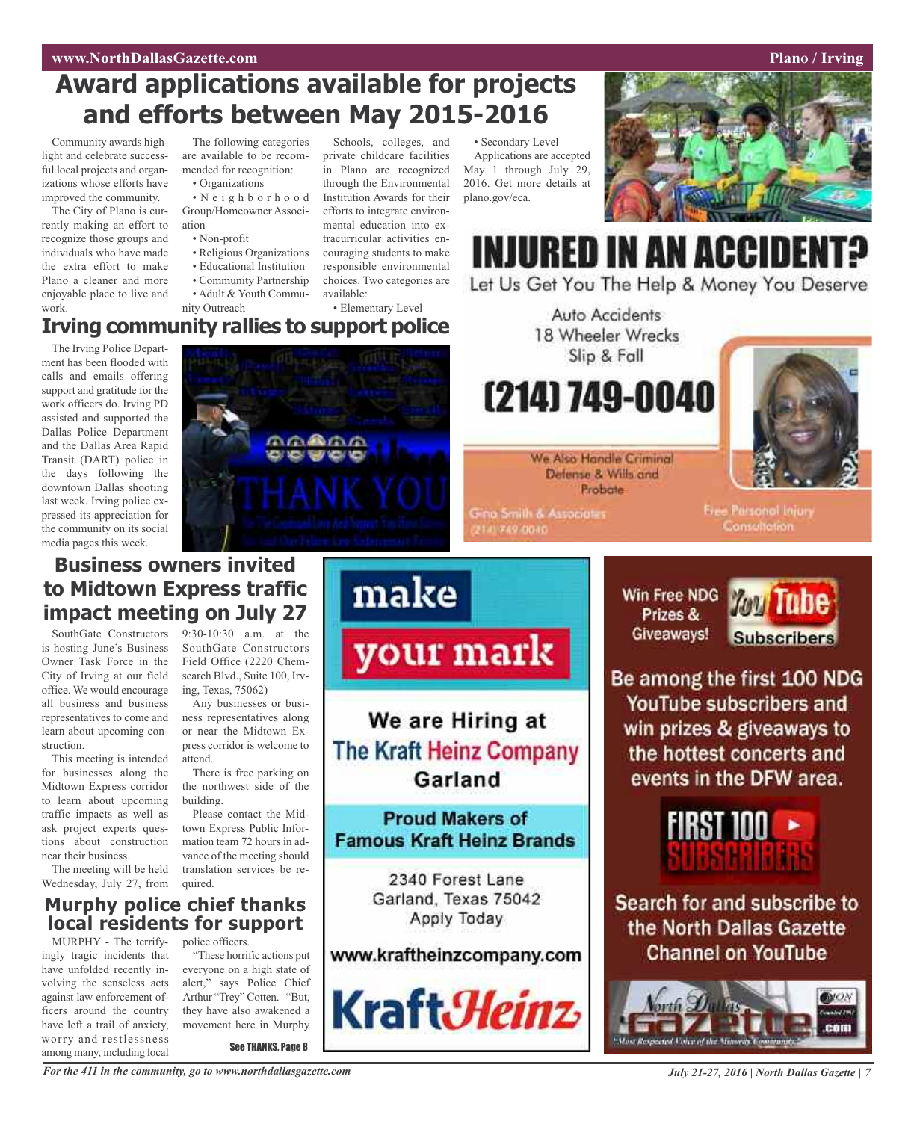## **Award applications available for projects and efforts between May 2015-2016**

Community awards highlight and celebrate successful local projects and organizations whose efforts have improved the community.

The City of Plano is currently making an effort to recognize those groups and individuals who have made the extra effort to make Plano a cleaner and more enjoyable place to live and work.

The following categories are available to be recommended for recognition:

• Organizations

• N e i g h b o r h o o d Group/Homeowner Association

- Non-profit
- Religious Organizations
- Educational Institution
- Community Partnership
- Adult & Youth Commu-
- nity Outreach

Schools, colleges, and private childcare facilities in Plano are recognized through the Environmental Institution Awards for their efforts to integrate environmental education into extracurricular activities encouraging students to make responsible environmental choices. Two categories are available:

• Elementary Level

• Secondary Level Applications are accepted May 1 through July 29, 2016. Get more details at plano.gov/eca.



**INJURED IN AN ACCIDENT?** 

Let Us Get You The Help & Money You Deserve

Win Free NDG

Prizes &

### **Irving community rallies to support police**

The Irving Police Department has been flooded with calls and emails offering support and gratitude for the work officers do. Irving PD assisted and supported the Dallas Police Department and the Dallas Area Rapid Transit (DART) police in the days following the downtown Dallas shooting last week. Irving police expressed its appreciation for the community on its social media pages this week.



We Also Handle Criminal Defense & Wills and Probate

Auto Accidents 18 Wheeler Wrecks Slip & Fall

(214) 749-0040

**Gina Smith & Associates** 141749-0040

Free Parsonol Injury Consultation

Tube

**Business owners invited to Midtown Express traffic impact meeting on July 27**

SouthGate Constructors is hosting June's Business Owner Task Force in the City of Irving at our field office. We would encourage all business and business representatives to come and learn about upcoming construction.

This meeting is intended for businesses along the Midtown Express corridor to learn about upcoming traffic impacts as well as ask project experts questions about construction near their business.

The meeting will be held Wednesday, July 27, from

9:30-10:30 a.m. at the SouthGate Constructors Field Office (2220 Chemsearch Blvd., Suite 100, Irving, Texas, 75062) Any businesses or busi-

ness representatives along or near the Midtown Express corridor is welcome to attend.

There is free parking on the northwest side of the building.

Please contact the Midtown Express Public Information team 72 hours in advance of the meeting should translation services be required.

### **Murphy police chief thanks local residents for support**

MURPHY - The terrifyingly tragic incidents that have unfolded recently involving the senseless acts against law enforcement officers around the country have left a trail of anxiety, worry and restlessness among many, including local

police officers.

"These horrific actions put everyone on a high state of alert," says Police Chief Arthur "Trey" Cotten. "But, they have also awakened a movement here in Murphy

See THANKS, Page 8



We are Hiring at **The Kraft Heinz Company** Garland

**Proud Makers of Famous Kraft Heinz Brands** 

> 2340 Forest Lane Garland, Texas 75042 Apply Today

### www.kraftheinzcompany.com



Giveaways! **Subscribers** Be among the first 100 NDG YouTube subscribers and

win prizes & giveaways to the hottest concerts and events in the DFW area.



Search for and subscribe to the North Dallas Gazette **Channel on YouTube** 

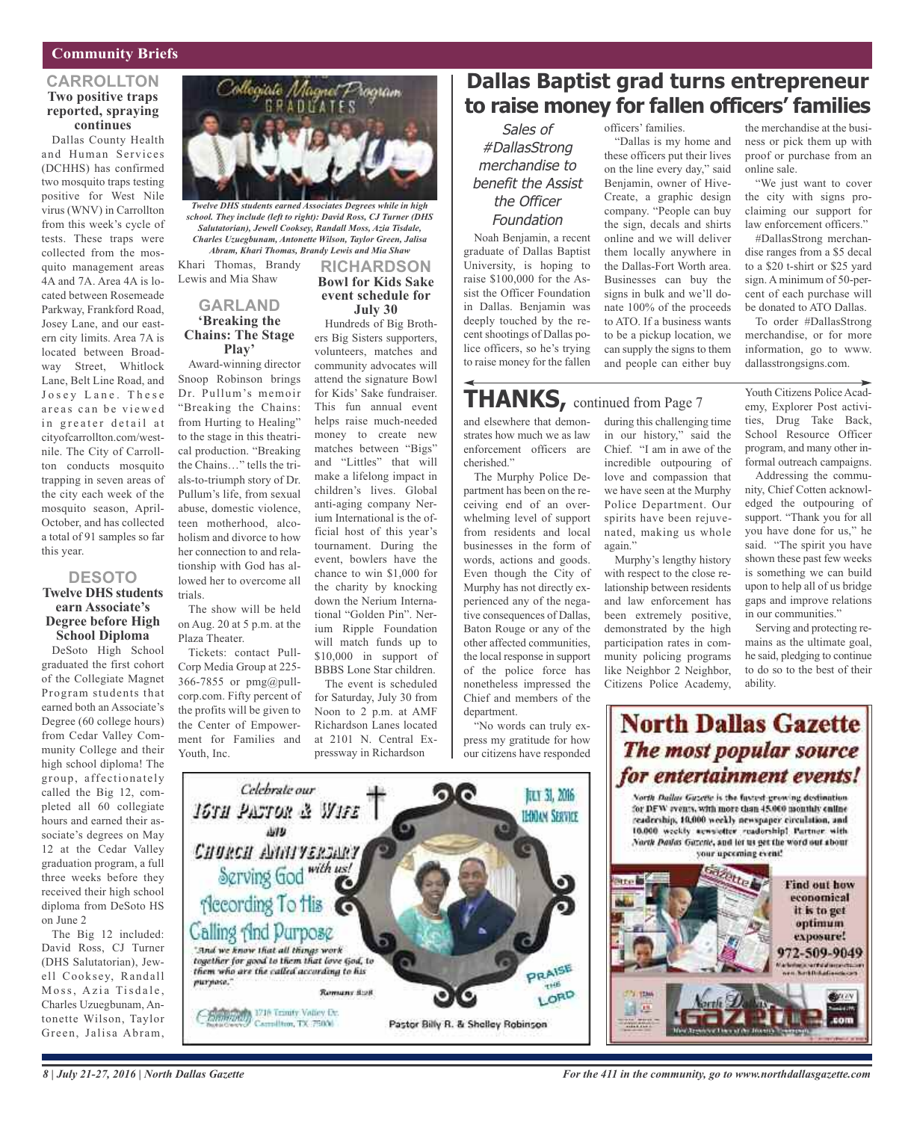### **Community Briefs**

#### **CARROLLTON Two positive traps reported, spraying continues**

Dallas County Health and Human Services (DCHHS) has confirmed two mosquito traps testing positive for West Nile virus (WNV) in Carrollton from this week's cycle of tests. These traps were collected from the mosquito management areas 4A and 7A. Area 4A is located between Rosemeade Parkway, Frankford Road, Josey Lane, and our eastern city limits. Area 7A is located between Broadway Street, Whitlock Lane, Belt Line Road, and Josey Lane. These areas can be viewed in greater detail at cityofcarrollton.com/westnile. The City of Carrollton conducts mosquito trapping in seven areas of the city each week of the mosquito season, April-October, and has collected a total of 91 samples so far this year.

### **DESOTO**

#### **Twelve DHS students earn Associate's Degree before High School Diploma**

DeSoto High School graduated the first cohort of the Collegiate Magnet Program students that earned both an Associate's Degree (60 college hours) from Cedar Valley Community College and their high school diploma! The group, affectionately called the Big 12, completed all 60 collegiate hours and earned their associate's degrees on May 12 at the Cedar Valley graduation program, a full three weeks before they received their high school diploma from DeSoto HS on June 2

The Big 12 included: David Ross, CJ Turner (DHS Salutatorian), Jewell Cooksey, Randall Moss, Azia Tisdale, Charles Uzuegbunam, Antonette Wilson, Taylor Green, Jalisa Abram,



*Twelve DHS students earned Associates Degrees while in high school. They include (left to right): David Ross, CJ Turner (DHS Salutatorian), Jewell Cooksey, Randall Moss, Azia Tisdale, Charles Uzuegbunam, Antonette Wilson, Taylor Green, Jalisa Abram, Khari Thomas, Brandy Lewis and Mia Shaw*

Khari Thomas, Brandy Lewis and Mia Shaw

### **GARLAND 'Breaking the Chains: The Stage Play'**

Award-winning director Snoop Robinson brings Dr. Pullum's memoir "Breaking the Chains: from Hurting to Healing" to the stage in this theatrical production. "Breaking the Chains…" tells the trials-to-triumph story of Dr. Pullum's life, from sexual abuse, domestic violence, teen motherhood, alcoholism and divorce to how her connection to and relationship with God has allowed her to overcome all trials.

The show will be held on Aug. 20 at 5 p.m. at the Plaza Theater.

Tickets: contact Pull-Corp Media Group at 225- 366-7855 or pmg@pullcorp.com. Fifty percent of the profits will be given to the Center of Empowerment for Families and Youth, Inc.

Celebrate our

IGTH PASTOR & WIFE

**ANY** 

Спокси Аннускиет

Hecording To His

Calling And Purpose

purpose."

"And we know that all things work"

Chainman 1716 Transfy Valley Dr.

together for good to them that love God, to

Carmilton, TX 75000

*Romany 8:28* 

them who are the called according to his

Serving God with us!

#### **RICHARDSON Bowl for Kids Sake event schedule for July 30**

Hundreds of Big Brothers Big Sisters supporters, volunteers, matches and community advocates will attend the signature Bowl for Kids' Sake fundraiser. This fun annual event helps raise much-needed money to create new matches between "Bigs" and "Littles" that will make a lifelong impact in children's lives. Global anti-aging company Nerium International is the official host of this year's tournament. During the event, bowlers have the chance to win \$1,000 for the charity by knocking down the Nerium International "Golden Pin". Nerium Ripple Foundation will match funds up to \$10,000 in support of BBBS Lone Star children.

The event is scheduled for Saturday, July 30 from Noon to 2 p.m. at AMF Richardson Lanes located at 2101 N. Central Expressway in Richardson

6

Pastor Billy R. & Shelley Robinson

### **Dallas Baptist grad turns entrepreneur to raise money for fallen officers' families**

"Dallas is my home and these officers put their lives on the line every day," said Benjamin, owner of Hive-Create, a graphic design company. "People can buy the sign, decals and shirts online and we will deliver them locally anywhere in the Dallas-Fort Worth area. Businesses can buy the signs in bulk and we'll donate 100% of the proceeds to ATO. If a business wants to be a pickup location, we can supply the signs to them and people can either buy

officers' families.

Sales of #DallasStrong merchandise to benefit the Assist the Officer Foundation

Noah Benjamin, a recent graduate of Dallas Baptist University, is hoping to raise \$100,000 for the Assist the Officer Foundation in Dallas. Benjamin was deeply touched by the recent shootings of Dallas police officers, so he's trying to raise money for the fallen

### **THANKS,** continued from Page <sup>7</sup>

and elsewhere that demonstrates how much we as law enforcement officers are cherished."

The Murphy Police Department has been on the receiving end of an overwhelming level of support from residents and local businesses in the form of words, actions and goods. Even though the City of Murphy has not directly experienced any of the negative consequences of Dallas, Baton Rouge or any of the other affected communities, the local response in support of the police force has nonetheless impressed the Chief and members of the department.

"No words can truly express my gratitude for how our citizens have responded

ПСТ 31, 2016

**LEODAM SERVICE** 

PRAISE

 $-146$ LORD during this challenging time in our history," said the Chief. "I am in awe of the incredible outpouring of love and compassion that we have seen at the Murphy Police Department. Our spirits have been rejuvenated, making us whole again.'

Murphy's lengthy history with respect to the close relationship between residents and law enforcement has been extremely positive, demonstrated by the high participation rates in community policing programs like Neighbor 2 Neighbor, Citizens Police Academy,

the merchandise at the business or pick them up with proof or purchase from an online sale.

"We just want to cover the city with signs proclaiming our support for law enforcement officers."

#DallasStrong merchandise ranges from a \$5 decal to a \$20 t-shirt or \$25 yard sign. Aminimum of 50-percent of each purchase will be donated to ATO Dallas.

To order #DallasStrong merchandise, or for more information, go to www. dallasstrongsigns.com.

Youth Citizens Police Academy, Explorer Post activities, Drug Take Back, School Resource Officer program, and many other informal outreach campaigns.

Addressing the community, Chief Cotten acknowledged the outpouring of support. "Thank you for all you have done for us," he said. "The spirit you have shown these past few weeks is something we can build upon to help all of us bridge gaps and improve relations in our communities."

Serving and protecting remains as the ultimate goal, he said, pledging to continue to do so to the best of their ability.

972-509-9049



**North Dallas Gazette** 



国昌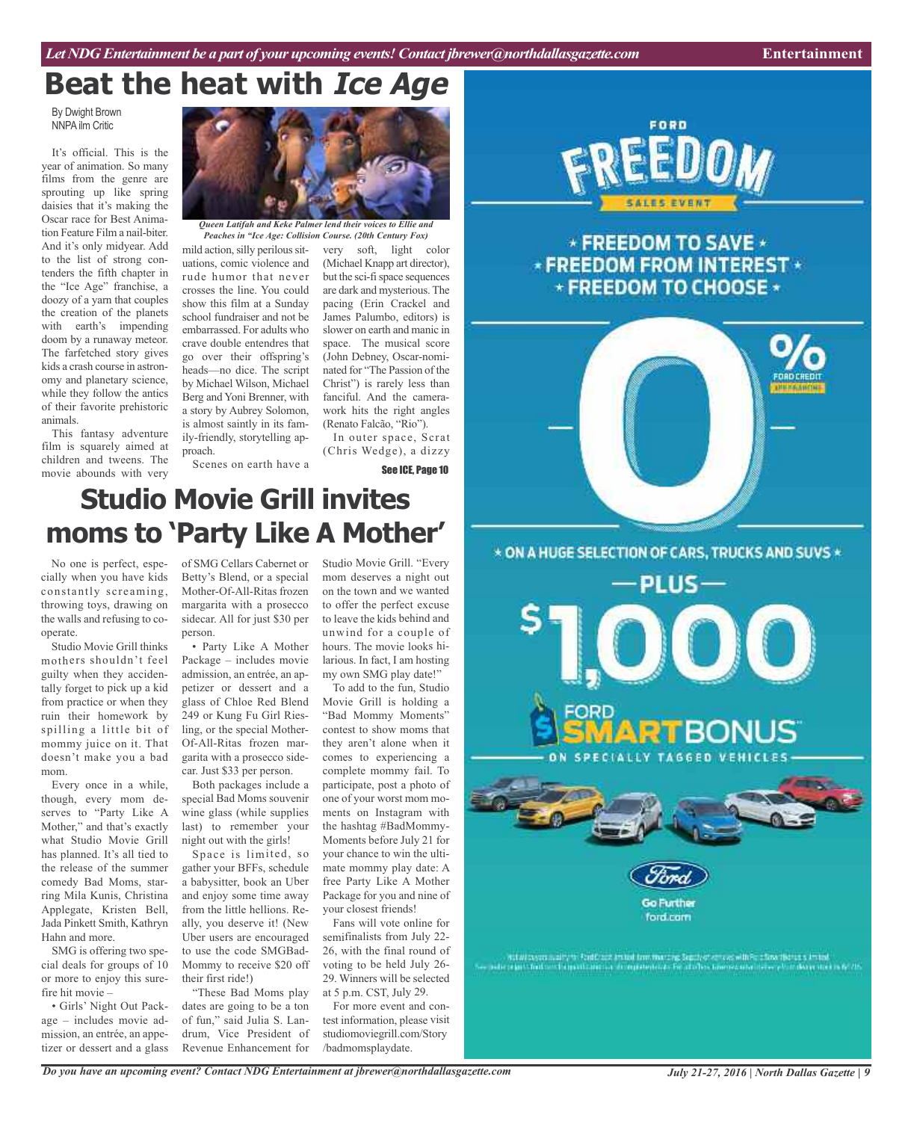## **Beat the heat with Ice Age**

By Dwight Brown NNPA ilm Critic

It's official. This is the year of animation. So many films from the genre are sprouting up like spring daisies that it's making the Oscar race for Best Animation Feature Film a nail-biter. And it's only midyear. Add to the list of strong contenders the fifth chapter in the "Ice Age" franchise, a doozy of a yarn that couples the creation of the planets with earth's impending doom by a runaway meteor. The farfetched story gives kids a crash course in astronomy and planetary science, while they follow the antics of their favorite prehistoric animals.

This fantasy adventure film is squarely aimed at children and tweens. The movie abounds with very



*Queen Latifah and Keke Palmer lend their voices to Ellie and Peaches in "Ice Age: Collision Course. (20th Century Fox)*

mild action, silly perilous situations, comic violence and rude humor that never crosses the line. You could show this film at a Sunday school fundraiser and not be embarrassed. For adults who crave double entendres that go over their offspring's heads—no dice. The script by Michael Wilson, Michael Berg and Yoni Brenner, with a story by Aubrey Solomon, is almost saintly in its family-friendly, storytelling approach.

very soft, light color (Michael Knapp art director), but the sci-fi space sequences are dark and mysterious. The pacing (Erin Crackel and James Palumbo, editors) is slower on earth and manic in space. The musical score (John Debney, Oscar-nominated for "The Passion of the Christ") is rarely less than fanciful. And the camerawork hits the right angles (Renato Falcão, "Rio").

In outer space, Scrat (Chris Wedge), a dizzy See ICE, Page 10

Scenes on earth have a

## **Studio Movie Grill invites moms to 'Party Like A Mother'**

No one is perfect, especially when you have kids constantly screaming, throwing toys, drawing on the walls and refusing to cooperate.

Studio Movie Grill thinks mothers shouldn't feel guilty when they accidentally forget to pick up <sup>a</sup> kid from practice or when they ruin their homework by spilling <sup>a</sup> little bit of mommy juice on it. That doesn't make you <sup>a</sup> bad mom.

Every once in <sup>a</sup> while, though, every mom deserves to "Party Like A Mother," and that's exactly what Studio Movie Grill has planned. It's all tied to the release of the summer comedy Bad Moms, starring Mila Kunis, Christina Applegate, Kristen Bell, Jada Pinkett Smith, Kathryn Hahn and more.

SMG is offering two special deals for groups of 10 or more to enjoy this surefire hit movie –

• Girls' Night Out Package – includes movie admission, an entrée, an appetizer or dessert and <sup>a</sup> glass of SMG Cellars Cabernet or Betty's Blend, or <sup>a</sup> special Mother-Of-All-Ritas frozen margarita with <sup>a</sup> prosecco sidecar. All for just \$30 per person.

• Party Like A Mother Package – includes movie admission, an entrée, an appetizer or dessert and <sup>a</sup> glass of Chloe Red Blend 249 or Kung Fu Girl Riesling, or the special Mother-Of-All-Ritas frozen margarita with <sup>a</sup> prosecco sidecar. Just \$33 per person.

Both packages include <sup>a</sup> special Bad Moms souvenir wine glass (while supplies last) to remember your night out with the girls!

Space is limited, so gather your BFFs, schedule <sup>a</sup> babysitter, book an Uber and enjoy some time away from the little hellions. Really, you deserve it! (New Uber users are encouraged to use the code SMGBad-Mommy to receive \$20 off their first ride!)

"These Bad Moms play dates are going to be <sup>a</sup> ton of fun," said Julia S. Landrum, Vice President of Revenue Enhancement for

Studio Movie Grill. "Every mom deserves <sup>a</sup> night out on the town and we wanted to offer the perfect excuse to leave the kids behind and unwind for <sup>a</sup> couple of hours. The movie looks hilarious. In fact, I am hosting my own SMG play date!"

To add to the fun, Studio Movie Grill is holding <sup>a</sup> "Bad Mommy Moments" contest to show moms that they aren't alone when it comes to experiencing <sup>a</sup> complete mommy fail. To participate, pos<sup>t</sup> <sup>a</sup> photo of one of your worst mom moments on Instagram with the hashtag #BadMommy-Moments before July 21 for your chance to win the ultimate mommy play date: A free Party Like A Mother Package for you and nine of your closest friends!

Fans will vote online for semifinalists from July 22- 26, with the final round of voting to be held July 26- 29. Winners will be selected at 5 p.m. CST, July 29.

For more event and contest information, please visit studiomoviegrill.com/Story /badmomsplaydate.



\* FREEDOM TO SAVE \* **\* FREEDOM FROM INTEREST \*** \* FREEDOM TO CHOOSE \*



**RTBONUS** 

PLUS-

Go Further ford.com

that appearance is struct to the continued from the case of the structure of the client field of the field of<br>Also a term for the problem is a form of the client of the client management of the field of the field of the

*Do you have an upcoming event? Contact NDG Entertainment at jbrewer@northdallasgazette.com*

*July 21-27, 2016 | North Dallas Gazette | 9*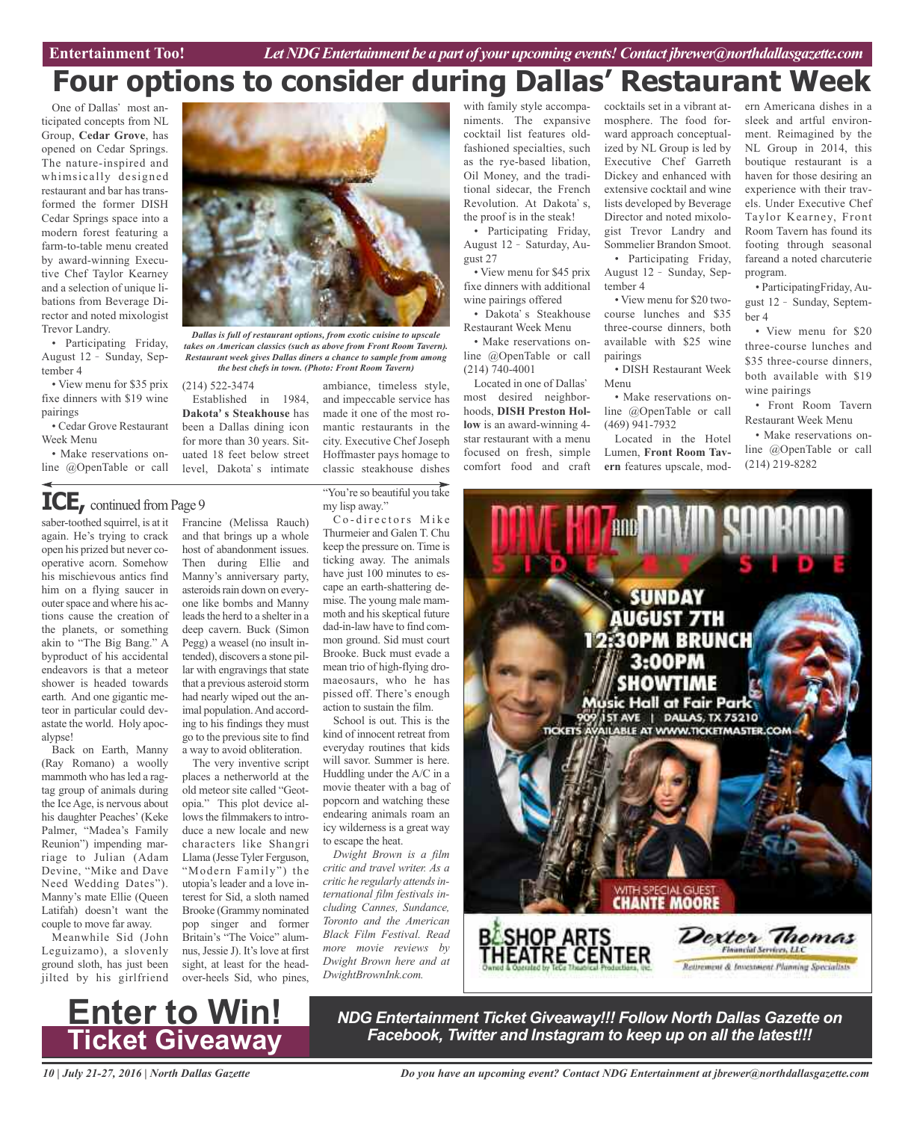## **Four options to consider during Dallas' Restaurant Week**

One of Dallas' most anticipated concepts from NL Group, **Cedar Grove**, has opened on Cedar Springs. The nature-inspired and whimsically designed restaurant and bar has transformed the former DISH Cedar Springs space into a modern forest featuring a farm-to-table menu created by award-winning Executive Chef Taylor Kearney and a selection of unique libations from Beverage Director and noted mixologist Trevor Landry.

• Participating Friday, August 12 - Sunday, September 4

• View menu for \$35 prix fixe dinners with \$19 wine pairings

• Cedar Grove Restaurant Week Menu

• Make reservations online @OpenTable or call

*Dallas is full of restaurant options, from exotic cuisine to upscale*

*takes on American classics (such as above from Front Room Tavern). Restaurant week gives Dallas diners a chance to sample from among the best chefs in town. (Photo: Front Room Tavern)*

(214) 522-3474

Established in 1984, **Dakotas Steakhouse** has been a Dallas dining icon for more than 30 years. Situated 18 feet below street level. Dakota's intimate

and impeccable service has made it one of the most romantic restaurants in the city. Executive Chef Joseph Hoffmaster pays homage to classic steakhouse dishes

ambiance, timeless style,

"You're so beautiful you take my lisp away." Co-directors Mike

Thurmeier and Galen T. Chu keep the pressure on. Time is ticking away. The animals have just 100 minutes to escape an earth-shattering demise. The young male mammoth and his skeptical future dad-in-law have to find common ground. Sid must court Brooke. Buck must evade a mean trio of high-flying dromaeosaurs, who he has pissed off. There's enough action to sustain the film. School is out. This is the kind of innocent retreat from everyday routines that kids

saber-toothed squirrel, is at it again. He's trying to crack open his prized but never cooperative acorn. Somehow his mischievous antics find him on a flying saucer in outer space and where his actions cause the creation of the planets, or something akin to "The Big Bang." A byproduct of his accidental endeavors is that a meteor shower is headed towards earth. And one gigantic meteor in particular could devastate the world. Holy apocalypse! Francine (Melissa Rauch) and that brings up a whole host of abandonment issues. Then during Ellie and Manny's anniversary party, asteroids rain down on everyone like bombs and Manny leads the herd to a shelter in a deep cavern. Buck (Simon Pegg) a weasel (no insult intended), discovers a stone pillar with engravings that state that a previous asteroid storm had nearly wiped out the animal population.And according to his findings they must go to the previoussite to find a way to avoid obliteration. **ICE**, continued from Page 9

Back on Earth, Manny (Ray Romano) a woolly mammoth who has led a ragtag group of animals during the Ice Age, is nervous about his daughter Peaches' (Keke Palmer, "Madea's Family Reunion") impending marriage to Julian (Adam Devine, "Mike and Dave Need Wedding Dates"). Manny's mate Ellie (Queen Latifah) doesn't want the couple to move far away.

Meanwhile Sid (John Leguizamo), a slovenly ground sloth, has just been jilted by his girlfriend



with family style accompaniments. The expansive cocktail list features oldfashioned specialties, such as the rye-based libation, Oil Money, and the traditional sidecar, the French Revolution. At Dakota's, the proof is in the steak!

• Participating Friday, August 12 - Saturday, August 27

• View menu for \$45 prix fixe dinners with additional wine pairings offered

• Dakota's Steakhouse Restaurant Week Menu • Make reservations on-

line @OpenTable or call (214) 740-4001 Located in one of Dallas most desired neighborhoods, **DISH Preston Hol-**

**low** is an award-winning 4 star restaurant with a menu focused on fresh, simple comfort food and craft

cocktails set in a vibrant atmosphere. The food forward approach conceptualized by NL Group is led by Executive Chef Garreth Dickey and enhanced with extensive cocktail and wine lists developed by Beverage Director and noted mixologist Trevor Landry and Sommelier Brandon Smoot. • Participating Friday, August 12 - Sunday, September 4

• View menu for \$20 twocourse lunches and \$35 three-course dinners, both available with \$25 wine pairings

• DISH Restaurant Week Menu

• Make reservations online @OpenTable or call (469) 941-7932

Located in the Hotel Lumen, **Front Room Tavern** features upscale, mod-

ern Americana dishes in a sleek and artful environment. Reimagined by the NL Group in 2014, this boutique restaurant is a haven for those desiring an experience with their travels. Under Executive Chef Taylor Kearney, Front Room Tavern has found its footing through seasonal fareand a noted charcuterie program.

• ParticipatingFriday, August 12 - Sunday, September 4

• View menu for \$20 three-course lunches and \$35 three-course dinners, both available with \$19 wine pairings

• Front Room Tavern Restaurant Week Menu

• Make reservations online @OpenTable or call (214) 219-8282



*NDG Entertainment Ticket Giveaway!!! Follow North Dallas Gazette on Facebook, Twitter and Instagram to keep up on all the latest!!!* **Enter to Win! Ticket Giveaway**

*10 | July 21-27, 2016 | North Dallas Gazette*

*Do you have an upcoming event? Contact NDG Entertainment at jbrewer@northdallasgazette.com*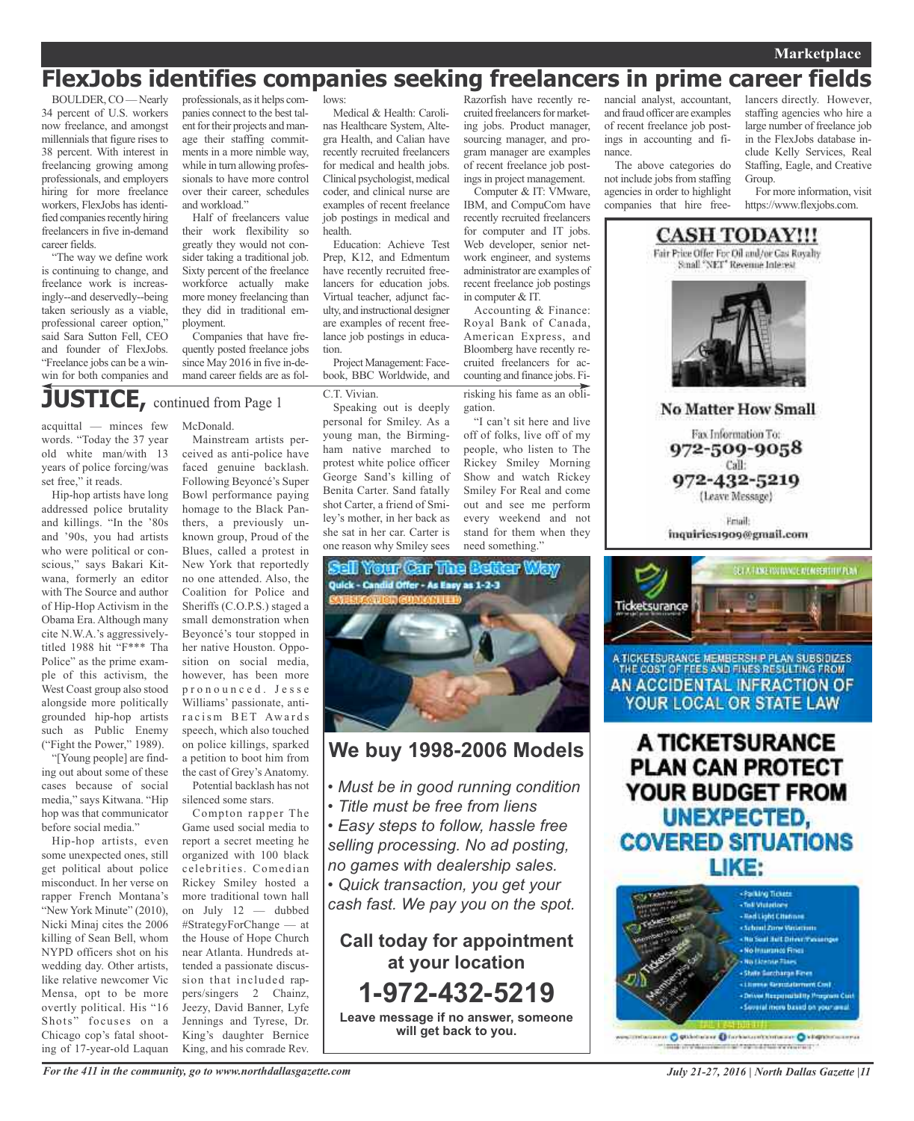### **Marketplace**

### **FlexJobs identifies companies seeking freelancers in prime career fields**

BOULDER,CO—Nearly 34 percent of U.S. workers now freelance, and amongst millennials that figure rises to 38 percent. With interest in freelancing growing among professionals, and employers hiring for more freelance workers, FlexJobs has identified companies recently hiring freelancers in five in-demand career fields.

"The way we define work is continuing to change, and freelance work is increasingly--and deservedly--being taken seriously as a viable, professional career option," said Sara Sutton Fell, CEO and founder of FlexJobs. "Freelance jobs can be a winwin for both companies and

professionals, as it helps companies connect to the best talent for their projects and manage their staffing commitments in a more nimble way, while in turn allowing professionals to have more control over their career, schedules and workload."

Half of freelancers value their work flexibility so greatly they would not consider taking a traditional job. Sixty percent of the freelance workforce actually make more money freelancing than they did in traditional employment.

Companies that have frequently posted freelance jobs since May 2016 in five in-demand career fields are as fol-

## **JUSTICE,** continued from Page <sup>1</sup>

acquittal — minces few words. "Today the 37 year old white man/with 13 years of police forcing/was set free," it reads.

Hip-hop artists have long addressed police brutality and killings. "In the '80s and '90s, you had artists who were political or conscious," says Bakari Kitwana, formerly an editor with The Source and author of Hip-Hop Activism in the Obama Era. Although many cite N.W.A.'s aggressivelytitled 1988 hit "F\*\*\* Tha Police" as the prime example of this activism, the West Coast group also stood alongside more politically grounded hip-hop artists such as Public Enemy ("Fight the Power," 1989).

"[Young people] are finding out about some of these cases because of social media," says Kitwana. "Hip hop was that communicator before social media."

Hip-hop artists, even some unexpected ones, still get political about police misconduct. In her verse on rapper French Montana's "New York Minute" (2010), Nicki Minaj cites the 2006 killing of Sean Bell, whom NYPD officers shot on his wedding day. Other artists, like relative newcomer Vic Mensa, opt to be more overtly political. His "16 Shots" focuses on a Chicago cop's fatal shooting of 17-year-old Laquan

McDonald. Mainstream artists per-

ceived as anti-police have faced genuine backlash. Following Beyoncé's Super Bowl performance paying homage to the Black Panthers, a previously unknown group, Proud of the Blues, called a protest in New York that reportedly no one attended. Also, the Coalition for Police and Sheriffs (C.O.P.S.) staged a small demonstration when Beyoncé's tour stopped in her native Houston. Opposition on social media, however, has been more p r o n o u n c e d . J e s s e Williams' passionate, antiracism BET Awards speech, which also touched on police killings, sparked a petition to boot him from the cast of Grey's Anatomy. Potential backlash has not

silenced some stars.

Compton rapper The Game used social media to report a secret meeting he organized with 100 black celebrities. Comedian Rickey Smiley hosted a more traditional town hall on July 12 — dubbed #StrategyForChange — at the House of Hope Church near Atlanta. Hundreds attended a passionate discussion that included rappers/singers 2 Chainz, Jeezy, David Banner, Lyfe Jennings and Tyrese, Dr. King's daughter Bernice King, and his comrade Rev.

lows:

Medical & Health: Carolinas Healthcare System, Altegra Health, and Calian have recently recruited freelancers for medical and health jobs. Clinical psychologist, medical coder, and clinical nurse are examples of recent freelance job postings in medical and health.

Education: Achieve Test Prep, K12, and Edmentum have recently recruited freelancers for education jobs. Virtual teacher, adjunct faculty, and instructional designer are examples of recent freelance job postings in education.

Project Management: Facebook, BBC Worldwide, and

#### C.T. Vivian.

Speaking out is deeply personal for Smiley. As a young man, the Birmingham native marched to protest white police officer George Sand's killing of Benita Carter. Sand fatally shot Carter, a friend of Smiley's mother, in her back as she sat in her car. Carter is one reason why Smiley sees

Razorfish have recently recruited freelancers for marketing jobs. Product manager, sourcing manager, and program manager are examples of recent freelance job post-

ings in project management. Computer & IT: VMware, IBM, and CompuCom have recently recruited freelancers for computer and IT jobs. Web developer, senior network engineer, and systems administrator are examples of recent freelance job postings in computer & IT.

Accounting & Finance: Royal Bank of Canada, American Express, and Bloomberg have recently recruited freelancers for accounting and finance jobs. Firisking his fame as an obligation.

"I can't sit here and live off of folks, live off of my people, who listen to The Rickey Smiley Morning Show and watch Rickey Smiley For Real and come out and see me perform every weekend and not stand for them when they need something."



### **We buy 1998-2006 Models**

- *• Must be in good running condition*
- *• Title must be free from liens*
- *• Easy steps to follow, hassle free selling processing. No ad posting, no games with dealership sales.*

*• Quick transaction, you get your*

*cash fast. We pay you on the spot.*

**Call today for appointment at your location 1-972-432-5219 Leave message if no answer, someone will get back to you.**

nancial analyst, accountant, and fraud officer are examples of recent freelance job postings in accounting and finance.

The above categories do not include jobs from staffing agencies in order to highlight companies that hire freelancers directly. However, staffing agencies who hire a large number of freelance job in the FlexJobs database include Kelly Services, Real Staffing, Eagle, and Creative Group.

For more information, visit https://www.flexjobs.com.



Fax Information To: 972-509-9058 Call: 972-432-5219 (Leave Message)

**Email** inquiries1909@gmail.com



A TICKETSURANCE MEMBERSH P PLAN SUBSIDIZES THE COST OF FEES AND FINES RESULTING FROM AN ACCIDENTAL INFRACTION OF YOUR LOCAL OR STATE LAW

A TICKETSURANCE **PLAN CAN PROTECT** YOUR BUDGET FROM UNEXPECTED, **COVERED SITUATIONS** LIKE:



missionen O Stäbiniste O forbatteritzentalen O kilopolitikkerra mak unterstationsmittight reprint that memorials in

*July 21-27, 2016 | North Dallas Gazette |11*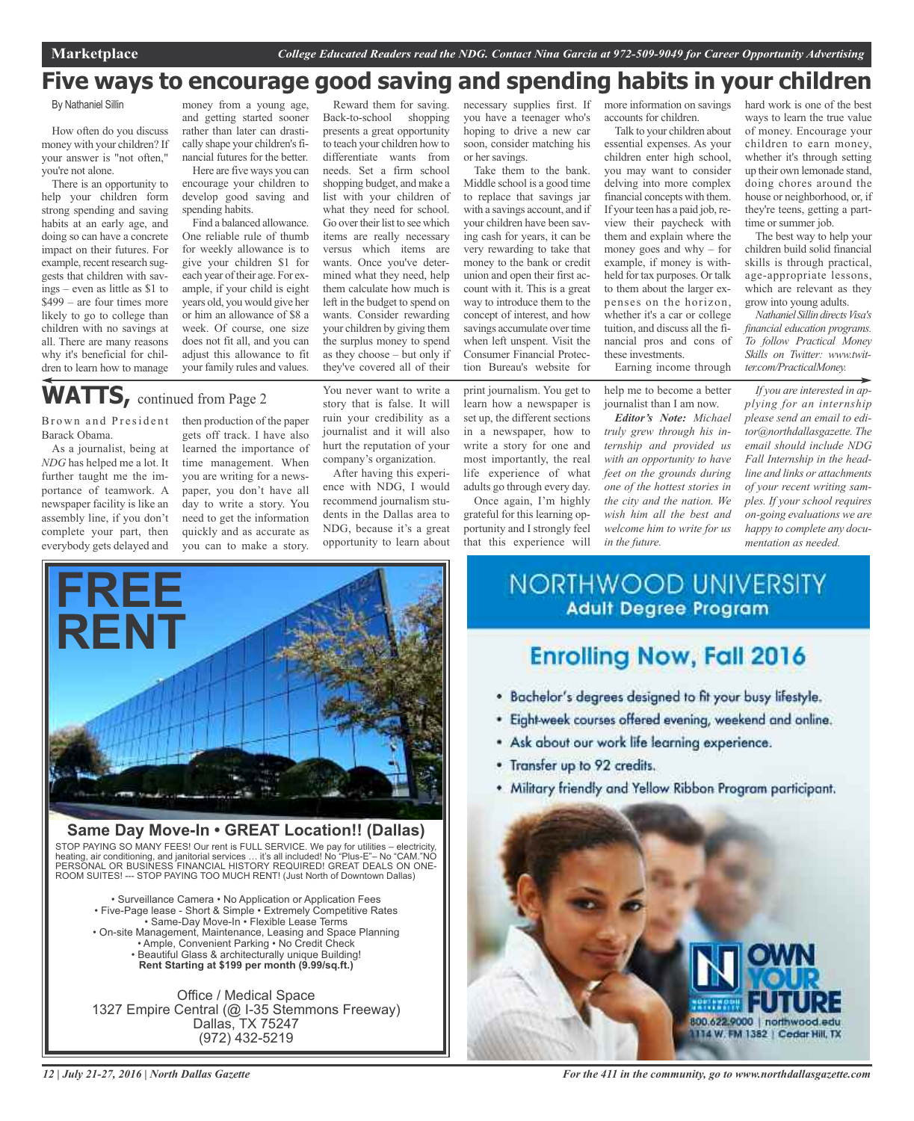### **Five ways to encourage good saving and spending habits in your children**

By Nathaniel Sillin

How often do you discuss money with your children? If your answer is "not often," you're not alone.

There is an opportunity to help your children form strong spending and saving habits at an early age, and doing so can have a concrete impact on their futures. For example, recent research suggests that children with savings – even as little as \$1 to \$499 – are four times more likely to go to college than children with no savings at all. There are many reasons why it's beneficial for children to learn how to manage

money from a young age, and getting started sooner rather than later can drastically shape your children's financial futures for the better. Here are five ways you can

encourage your children to develop good saving and spending habits.

Find a balanced allowance. One reliable rule of thumb for weekly allowance is to give your children \$1 for each year of their age. For example, if your child is eight years old, you would give her or him an allowance of \$8 a week. Of course, one size does not fit all, and you can adjust this allowance to fit your family rules and values.

presents a great opportunity to teach your children how to differentiate wants from needs. Set a firm school shopping budget, and make a list with your children of what they need for school. Go over their list to see which items are really necessary versus which items are wants. Once you've determined what they need, help them calculate how much is left in the budget to spend on wants. Consider rewarding your children by giving them the surplus money to spend as they choose – but only if they've covered all of their

Reward them for saving. Back-to-school shopping necessary supplies first. If you have a teenager who's hoping to drive a new car soon, consider matching his or her savings.

Take them to the bank. Middle school is a good time to replace that savings jar with a savings account, and if your children have been saving cash for years, it can be very rewarding to take that money to the bank or credit union and open their first account with it. This is a great way to introduce them to the concept of interest, and how savings accumulate over time when left unspent. Visit the Consumer Financial Protection Bureau's website for

print journalism. You get to learn how a newspaper is set up, the different sections in a newspaper, how to

write a story for one and most importantly, the real life experience of what adults go through every day.

Once again, I'm highly grateful for this learning opportunity and I strongly feel that this experience will more information on savings accounts for children.

Talk to your children about essential expenses. As your children enter high school, you may want to consider delving into more complex financial concepts with them. If your teen has a paid job, review their paycheck with them and explain where the money goes and why – for example, if money is withheld for tax purposes. Or talk to them about the larger expenses on the horizon, whether it's a car or college tuition, and discuss all the financial pros and cons of these investments.

Earning income through

help me to become a better journalist than I am now.

*Editor's Note: Michael truly grew through his internship and provided us with an opportunity to have feet on the grounds during one of the hottest stories in the city and the nation. We wish him all the best and welcome him to write for us in the future.*

hard work is one of the best ways to learn the true value of money. Encourage your children to earn money, whether it's through setting up their own lemonade stand, doing chores around the house or neighborhood, or, if they're teens, getting a parttime or summer job.

The best way to help your children build solid financial skills is through practical, age-appropriate lessons, which are relevant as they grow into young adults.

*NathanielSillindirectsVisa's financial education programs. To follow Practical Money Skills on Twitter: www.twitter.com/PracticalMoney.*

*If you are interested in applying for an internship please send an email to editor@northdallasgazette. The email should include NDG Fall Internship in the headline and links or attachments of your recent writing samples. If your school requires on-going evaluations we are happy to complete any documentation as needed.*

WATTS, continued from Page 2

Brown and President Barack Obama.

As a journalist, being at *NDG* has helped me a lot. It further taught me the importance of teamwork. A newspaper facility is like an assembly line, if you don't complete your part, then everybody gets delayed and then production of the paper gets off track. I have also learned the importance of time management. When you are writing for a newspaper, you don't have all day to write a story. You need to get the information quickly and as accurate as you can to make a story.

story that is false. It will ruin your credibility as a journalist and it will also hurt the reputation of your company's organization. After having this experi-

You never want to write a

ence with NDG, I would recommend journalism students in the Dallas area to NDG, because it's a great opportunity to learn about



**Same Day Move-In • GREAT Location!! (Dallas)** STOP PAYING SO MANY FEES! Our rent is FULL SERVICE. We pay for utilities – electricity, heating, air conditioning, and janitorial services … it's all included! No "Plus-E"– No "CAM."NO PERSONAL OR BUSINESS FINANCIAL HISTORY REQUIRED! GREAT DEALS ON ONE-ROOM SUITES! --- STOP PAYING TOO MUCH RENT! (Just North of Downtown Dallas)

• Surveillance Camera • No Application or Application Fees • Five-Page lease - Short & Simple • Extremely Competitive Rates • Same-Day Move-In • Flexible Lease Terms • On-site Management, Maintenance, Leasing and Space Planning • Ample, Convenient Parking • No Credit Check • Beautiful Glass & architecturally unique Building! **Rent Starting at \$199 per month (9.99/sq.ft.)**

Office / Medical Space 1327 Empire Central (@ I-35 Stemmons Freeway) Dallas, TX 75247 (972) 432-5219

**NORTHWOOD UNIVERSITY Adult Degree Program** 

### **Enrolling Now, Fall 2016**

- . Bachelor's degrees designed to fit your busy lifestyle.
- · Eight-week courses offered evening, weekend and online.
- . Ask about our work life learning experience.
- Transfer up to 92 credits.
- . Military friendly and Yellow Ribbon Program participant.



*For the 411 in the community, go to www.northdallasgazette.com*

*12 | July 21-27, 2016 | North Dallas Gazette*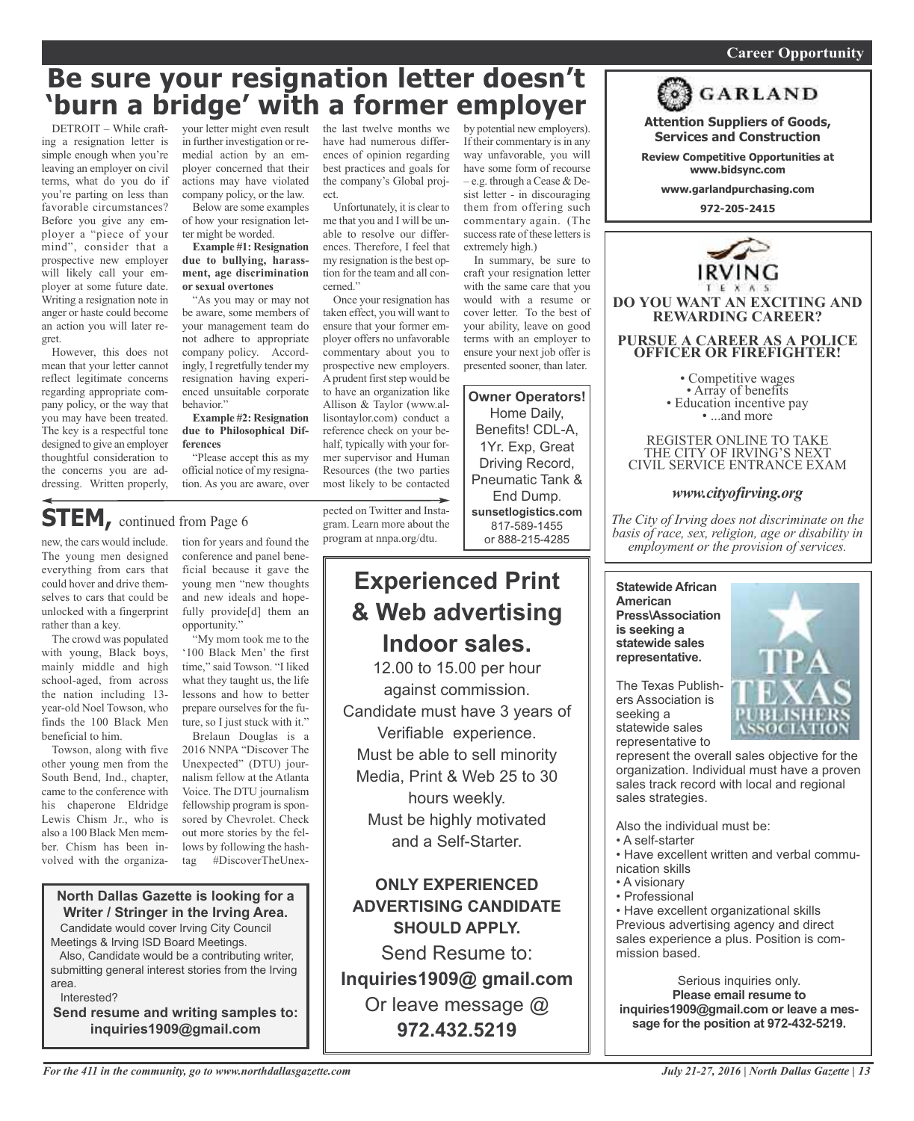#### *On a quest for qualified candidates? Contact Nina Garcia at 972-509-9049* **Career Opportunity**

## **Be sure your resignation letter doesn't 'burn a bridge' with a former employer**

DETROIT – While crafting a resignation letter is simple enough when you're leaving an employer on civil terms, what do you do if you're parting on less than favorable circumstances? Before you give any employer a "piece of your mind", consider that a prospective new employer will likely call your employer at some future date. Writing a resignation note in anger or haste could become an action you will later regret.

However, this does not mean that your letter cannot reflect legitimate concerns regarding appropriate company policy, or the way that you may have been treated. The key is a respectful tone designed to give an employer thoughtful consideration to the concerns you are addressing. Written properly, your letter might even result in further investigation or remedial action by an employer concerned that their actions may have violated company policy, or the law.

Below are some examples of how your resignation letter might be worded.

**Example #1: Resignation due to bullying, harassment, age discrimination or sexual overtones**

"As you may or may not be aware, some members of your management team do not adhere to appropriate company policy. Accordingly, I regretfully tender my resignation having experienced unsuitable corporate behavior."

**Example #2: Resignation due to Philosophical Differences**

"Please accept this as my official notice of my resignation. As you are aware, over the last twelve months we have had numerous differences of opinion regarding best practices and goals for the company's Global project.

Unfortunately, it is clear to me that you and I will be unable to resolve our differences. Therefore, I feel that my resignation is the best option for the team and all concerned."

Once your resignation has taken effect, you will want to ensure that your former employer offers no unfavorable commentary about you to prospective new employers. A prudent first step would be to have an organization like Allison & Taylor (www.allisontaylor.com) conduct a reference check on your behalf, typically with your former supervisor and Human Resources (the two parties most likely to be contacted

by potential new employers). If their commentary is in any way unfavorable, you will have some form of recourse – e.g. through a Cease & Desist letter - in discouraging them from offering such commentary again. (The success rate of these letters is extremely high.)

In summary, be sure to craft your resignation letter with the same care that you would with a resume or cover letter. To the best of your ability, leave on good terms with an employer to ensure your next job offer is presented sooner, than later.

**Owner Operators!** Home Daily, Benefits! CDL-A, 1Yr. Exp, Great Driving Record, Pneumatic Tank & End Dump.

**sunsetlogistics.com** 817-589-1455 or 888-215-4285

### **STEM,** continued from Page <sup>6</sup>

new, the cars would include. The young men designed everything from cars that could hover and drive themselves to cars that could be unlocked with a fingerprint rather than a key.

The crowd was populated with young, Black boys, mainly middle and high school-aged, from across the nation including 13 year-old Noel Towson, who finds the 100 Black Men beneficial to him.

Towson, along with five other young men from the South Bend, Ind., chapter, came to the conference with his chaperone Eldridge Lewis Chism Jr., who is also a 100 Black Men member. Chism has been involved with the organiza-

tion for years and found the conference and panel beneficial because it gave the young men "new thoughts and new ideals and hopefully provide<sup>[d]</sup> them an opportunity."

"My mom took me to the '100 Black Men' the first time," said Towson. "I liked what they taught us, the life lessons and how to better prepare ourselves for the future, so I just stuck with it."

Brelaun Douglas is a 2016 NNPA "Discover The Unexpected" (DTU) journalism fellow at the Atlanta Voice. The DTU journalism fellowship program is sponsored by Chevrolet. Check out more stories by the fellows by following the hashtag #DiscoverTheUnex-

### **North Dallas Gazette is looking for a Writer / Stringer in the Irving Area.** Candidate would cover Irving City Council

Meetings & Irving ISD Board Meetings.

Also, Candidate would be a contributing writer, submitting general interest stories from the Irving area.

Interested?

**Send resume and writing samples to: inquiries1909@gmail.com**

pected on Twitter and Instagram. Learn more about the program at nnpa.org/dtu.

### **Experienced Print & Web advertising Indoor sales.**

12.00 to 15.00 per hour against commission. Candidate must have 3 years of Verifiable experience. Must be able to sell minority Media, Print & Web 25 to 30 hours weekly. Must be highly motivated and a Self-Starter.

**ONLY EXPERIENCED ADVERTISING CANDIDATE SHOULD APPLY.**

Send Resume to: **Inquiries1909@ gmail.com** Or leave message @ **972.432.5219**



**Attention Suppliers of Goods, Services and Construction Review Competitive Opportunities at www.bidsync.com**

**GARLAND** 

**DO YOU WANT AN EXCITING AND REWARDING CAREER? PURSUE A CAREER AS A POLICE OFFICER OR FIREFIGHTER!**

• Competitive wages<br>• Array of benefits<br>• Education incentive pay<br>• ...and more

REGISTER ONLINE TO TAKE THE CITY OF IRVING'S NEXT CIVIL SERVICE ENTRANCE EXAM

### *www.cityofirving.org*

*The City of Irving does not discriminate on the basis of race, sex, religion, age or disability in employment or the provision of services.*

**Statewide African American Press\Association is seeking a statewide sales representative.**

The Texas Publishers Association is seeking a statewide sales representative to



represent the overall sales objective for the organization. Individual must have a proven sales track record with local and regional sales strategies.

Also the individual must be:

- A self-starter
- Have excellent written and verbal communication skills
- A visionary
- Professional

• Have excellent organizational skills Previous advertising agency and direct sales experience a plus. Position is commission based.

Serious inquiries only. **Please email resume to inquiries1909@gmail.com or leave a message for the position at 972-432-5219.**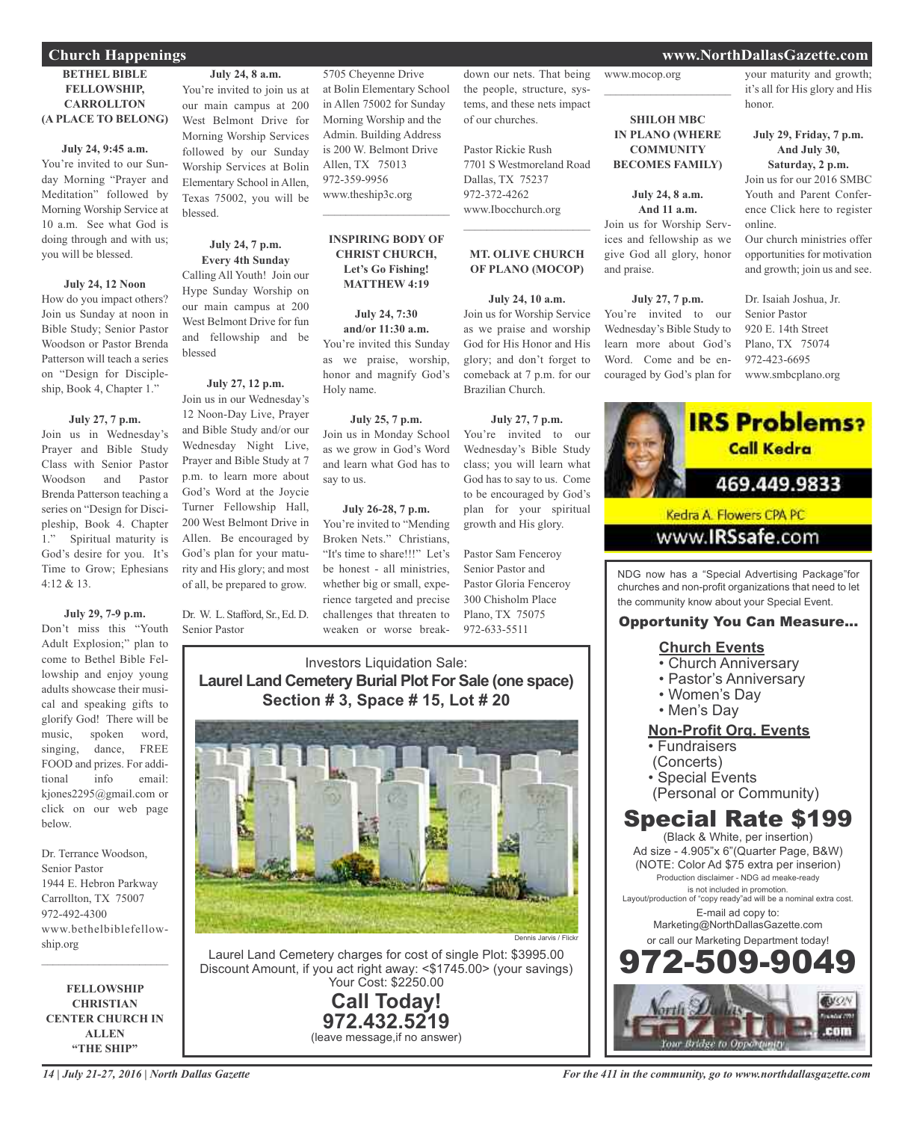### **Church Happenings www.NorthDallasGazette.com**

### **BETHEL BIBLE FELLOWSHIP, CARROLLTON (A PLACE TO BELONG)**

### **July 24, 9:45 a.m.**

You're invited to our Sunday Morning "Prayer and Meditation" followed by Morning Worship Service at 10 a.m. See what God is doing through and with us; you will be blessed.

### **July 24, 12 Noon**

How do you impact others? Join us Sunday at noon in Bible Study; Senior Pastor Woodson or Pastor Brenda Patterson will teach a series on "Design for Discipleship, Book 4, Chapter 1."

### **July 27, 7 p.m.**

Join us in Wednesday's Prayer and Bible Study Class with Senior Pastor Woodson and Pastor Brenda Patterson teaching a series on "Design for Discipleship, Book 4. Chapter 1." Spiritual maturity is God's desire for you. It's Time to Grow; Ephesians 4:12 & 13.

### **July 29, 7-9 p.m.**

Don't miss this "Youth Adult Explosion;" plan to come to Bethel Bible Fellowship and enjoy young adults showcase their musical and speaking gifts to glorify God! There will be music, spoken word, singing, dance, FREE FOOD and prizes. For additional info email: kjones2295@gmail.com or click on our web page below.

Dr. Terrance Woodson, Senior Pastor 1944 E. Hebron Parkway Carrollton, TX 75007 972-492-4300 www.bethelbiblefellowship.org

 $\mathcal{L}_\text{max}$  , which is a set of the set of the set of the set of the set of the set of the set of the set of the set of the set of the set of the set of the set of the set of the set of the set of the set of the set of

**FELLOWSHIP CHRISTIAN CENTER CHURCH IN ALLEN "THE SHIP"**

our main campus at 200 West Belmont Drive for Morning Worship Services followed by our Sunday Worship Services at Bolin Elementary School in Allen, Texas 75002, you will be blessed.

### **July 24, 7 p.m. Every 4th Sunday**

Calling All Youth! Join our Hype Sunday Worship on our main campus at 200 West Belmont Drive for fun and fellowship and be blessed

### **July 27, 12 p.m.**

Join us in our Wednesday's 12 Noon-Day Live, Prayer and Bible Study and/or our Wednesday Night Live, Prayer and Bible Study at 7 p.m. to learn more about God's Word at the Joycie Turner Fellowship Hall, 200 West Belmont Drive in Allen. Be encouraged by God's plan for your maturity and His glory; and most of all, be prepared to grow.

Dr. W. L. Stafford, Sr., Ed. D. Senior Pastor

5705 Cheyenne Drive at Bolin Elementary School in Allen 75002 for Sunday Morning Worship and the Admin. Building Address is 200 W. Belmont Drive Allen, TX 75013 972-359-9956 www.theship3c.org

#### **INSPIRING BODY OF CHRIST CHURCH, Let's Go Fishing! MATTHEW 4:19**

 $\mathcal{L}$  , and the set of the set of the set of the set of the set of the set of the set of the set of the set of the set of the set of the set of the set of the set of the set of the set of the set of the set of the set

**July 24, 7:30 and/or 11:30 a.m.** You're invited this Sunday as we praise, worship, honor and magnify God's Holy name.

### **July 25, 7 p.m.**

Join us in Monday School as we grow in God's Word and learn what God has to say to us.

### **July 26-28, 7 p.m.**

You're invited to "Mending Broken Nets." Christians, "It's time to share!!!" Let's be honest - all ministries, whether big or small, experience targeted and precise challenges that threaten to weaken or worse breakdown our nets. That being the people, structure, systems, and these nets impact of our churches.

Pastor Rickie Rush 7701 S Westmoreland Road Dallas, TX 75237 972-372-4262 www.Ibocchurch.org

### **MT. OLIVE CHURCH OF PLANO (MOCOP)**

 $\mathcal{L}_\text{max}$  , which is a set of the set of the set of the set of the set of the set of the set of the set of the set of the set of the set of the set of the set of the set of the set of the set of the set of the set of

#### **July 24, 10 a.m.**

Join us for Worship Service as we praise and worship God for His Honor and His glory; and don't forget to comeback at 7 p.m. for our Brazilian Church.

### **July 27, 7 p.m.**

You're invited to our Wednesday's Bible Study class; you will learn what God has to say to us. Come to be encouraged by God's plan for your spiritual growth and His glory.

Pastor Sam Fenceroy Senior Pastor and Pastor Gloria Fenceroy 300 Chisholm Place Plano, TX 75075 972-633-5511

### Investors Liquidation Sale: **Laurel Land Cemetery Burial Plot For Sale (one space) Section # 3, Space # 15, Lot # 20**



Laurel Land Cemetery charges for cost of single Plot: \$3995.00 Discount Amount, if you act right away: <\$1745.00> (your savings) Your Cost: \$2250.00

> **Call Today! 972.432.5219** (leave message,if no answer)

### www.mocop.org  $\overline{\phantom{a}}$  , and the set of the set of the set of the set of the set of the set of the set of the set of the set of the set of the set of the set of the set of the set of the set of the set of the set of the set of the s

**SHILOH MBC IN PLANO (WHERE COMMUNITY BECOMES FAMILY)**

### **July 24, 8 a.m.**

**And 11 a.m.** Join us for Worship Services and fellowship as we give God all glory, honor and praise.

### **July 27, 7 p.m.**

You're invited to our Wednesday's Bible Study to learn more about God's Word. Come and be encouraged by God's plan for



### **July 29, Friday, 7 p.m. And July 30,**

**Saturday, 2 p.m.** Join us for our 2016 SMBC

Youth and Parent Conference Click here to register online.

Our church ministries offer opportunities for motivation and growth; join us and see.

Dr. Isaiah Joshua, Jr. Senior Pastor 920 E. 14th Street Plano, TX 75074 972-423-6695 www.smbcplano.org



Kedra A. Flowers CPA PC

### www.**IRSsafe**.com

NDG now has a "Special Advertising Package"for churches and non-profit organizations that need to let the community know about your Special Event.

### Opportunity You Can Measure...

### **Church Events**

- Church Anniversary
- Pastor's Anniversary
- Women's Day
- Men's Day

### **Non-Profit Org. Events**

- Fundraisers
- (Concerts)
- Special Events
- (Personal or Community)

### Special Rate \$199

(Black & White, per insertion) Ad size - 4.905"x 6"(Quarter Page, B&W) (NOTE: Color Ad \$75 extra per inserion) Production disclaimer - NDG ad meake-ready is not included in promotion. Layout/production of "copy ready"ad will be a nominal extra cost. E-mail ad copy to: Marketing@NorthDallasGazette.com or call our Marketing Department today! 972-509-9049

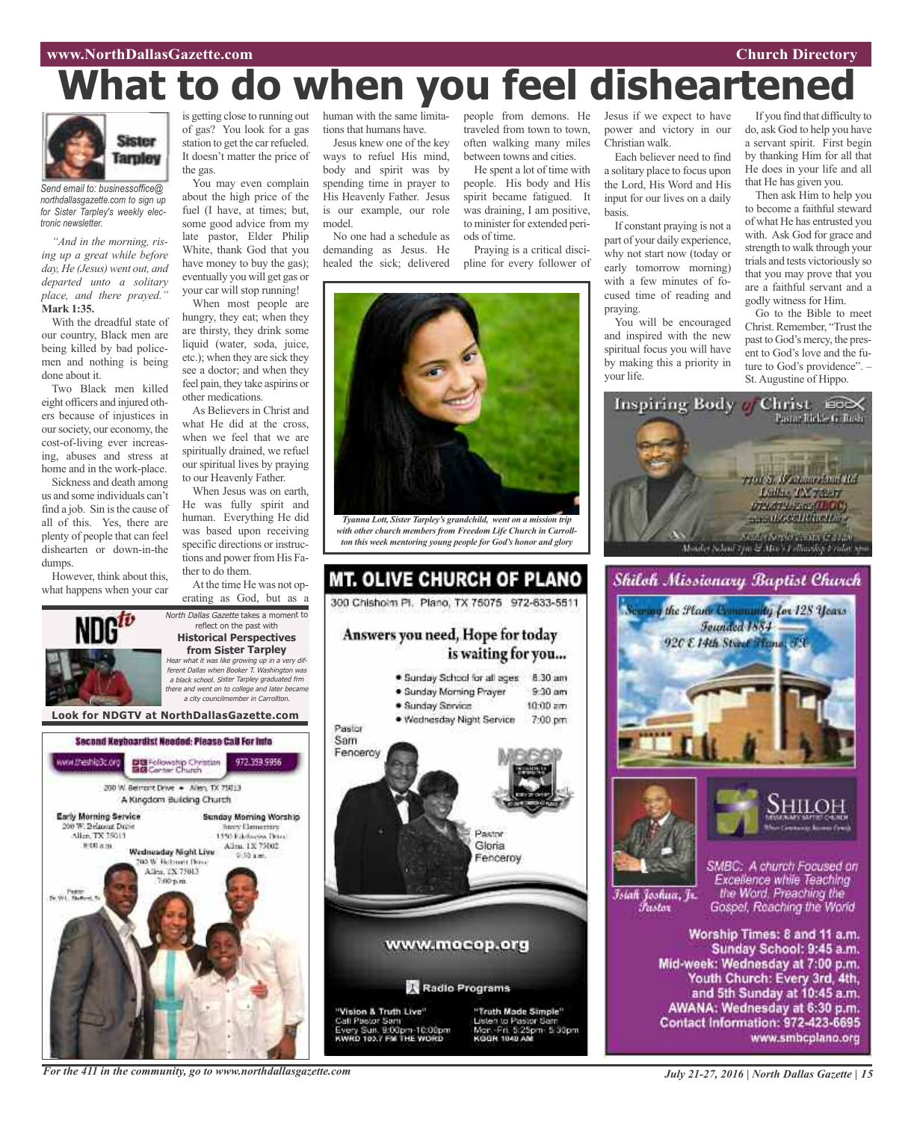#### **www.NorthDallasGazette.com Church Directory**

# **What to do when you feel disheartene**



*Send email to: businessoffice@ northdallasgazette.com to sign up for Sister Tarpley's weekly electronic newsletter.*

*"And in the morning, rising up a great while before day, He (Jesus) went out, and departed unto a solitary place, and there prayed."* **Mark 1:35.**

With the dreadful state of our country, Black men are being killed by bad policemen and nothing is being done about it.

Two Black men killed eight officers and injured others because of injustices in oursociety, our economy, the cost-of-living ever increasing, abuses and stress at home and in the work-place.

Sickness and death among us and some individuals can't find a job. Sin is the cause of all of this. Yes, there are plenty of people that can feel dishearten or down-in-the dumps.

However, think about this, what happens when your car

is getting close to running out of gas? You look for a gas station to get the car refueled. It doesn't matter the price of the gas.

You may even complain about the high price of the fuel (I have, at times; but, some good advice from my late pastor, Elder Philip White, thank God that you have money to buy the gas); eventually you will get gas or your car will stop running!

When most people are hungry, they eat; when they are thirsty, they drink some liquid (water, soda, juice, etc.); when they are sick they see a doctor; and when they feel pain, they take aspirins or other medications.

As Believers in Christ and what He did at the cross when we feel that we are spiritually drained, we refuel our spiritual lives by praying to our Heavenly Father.

When Jesus was on earth, He was fully spirit and human. Everything He did was based upon receiving specific directions or instructions and power from His Father to do them.

At the time He was not operating as God, but as a



reflect on the past with **Historical Perspectives from Sister Tarpley** Hear what it was like growing up in <sup>a</sup> very different Dallas when Booker T. Washington was <sup>a</sup> black school. Sister Tarpley graduated frm there and went on to college and later became <sup>a</sup> city councilmember in Carrollton.

North Dallas Gazette takes a moment to





human with the same limitations that humans have.

Jesus knew one of the key ways to refuel His mind, body and spirit was by spending time in prayer to His Heavenly Father. Jesus is our example, our role model.

No one had a schedule as demanding as Jesus. He healed the sick; delivered

people from demons. He Jesus if we expect to have traveled from town to town, often walking many miles between towns and cities.

He spent a lot of time with people. His body and His spirit became fatigued. It was draining, I am positive, to minister for extended periods of time.

Praying is a critical discipline for every follower of



*Tyanna Lott, Sister Tarpley's grandchild, went on a mission trip with other church members from Freedom Life Church in Carrollton this week mentoring young people for God's honor and glory*



power and victory in our Christian walk. Each believer need to find

a solitary place to focus upon the Lord, His Word and His input for our lives on a daily basis.

If constant praying is not a part of your daily experience, why not start now (today or early tomorrow morning) with a few minutes of focused time of reading and praying.

You will be encouraged and inspired with the new spiritual focus you will have by making this a priority in your life.

If you find that difficulty to do, ask God to help you have a servant spirit. First begin by thanking Him for all that He does in your life and all that He has given you.

Then ask Him to help you to become a faithful steward of what He has entrusted you with. Ask God for grace and strength to walk through your trials and tests victoriously so that you may prove that you are a faithful servant and a godly witness for Him.

Go to the Bible to meet Christ. Remember, "Trust the past to God's mercy, the present to God's love and the future to God's providence". – St. Augustine of Hippo.







Īsiah Joshua, Jr. Fustor

SMBC: A church Focused on Excellence while Teaching the Word. Preaching the Gospel, Reaching the World

Worship Times: 8 and 11 a.m. Sunday School: 9:45 a.m. Mid-week: Wednesday at 7:00 p.m. Youth Church: Every 3rd, 4th, and 5th Sunday at 10:45 a.m. AWANA: Wednesday at 6:30 p.m. Contact Information: 972-423-6695 www.smbcplano.org

*For the 411 in the community, go to www.northdallasgazette.com*